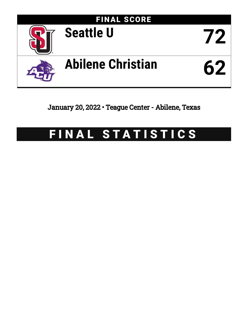

January 20, 2022 • Teague Center - Abilene, Texas

# FINAL STATISTICS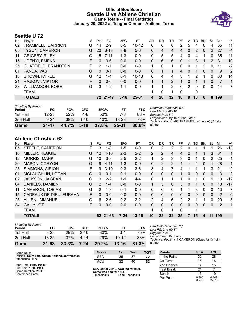### **Official Box Score Seattle U vs Abilene Christian Game Totals -- Final Statistics January 20, 2022 at Teague Center - Abilene, Texas**



# **Seattle U 72**

| No. | Player                  | S  | <b>Pts</b> | FG.      | 3FG      | FТ        | OR | DR.      | TR             | PF       | A | TO | <b>B</b> lk | Stl            | Min | $+/-$       |
|-----|-------------------------|----|------------|----------|----------|-----------|----|----------|----------------|----------|---|----|-------------|----------------|-----|-------------|
| 02  | TRAMMELL, DARRION       | G  | 14         | $2-9$    | $0 - 5$  | $10 - 12$ | 0  | 6        | 6              | 2        | 5 | 4  | 0           | 4              | 35  | 11          |
| 05  | <b>TYSON, CAMERON</b>   | G  | 20         | $6 - 13$ | $3 - 8$  | $5-6$     | 0  | 4        | 4              | 4        | 0 | 2  | $\Omega$    | 2              | 27  | $-4$        |
| 11  | <b>GRIGSBY, RILEY</b>   | G  | 15         | $7 - 11$ | $1 - 3$  | $0 - 0$   | 0  | 5        | 5              | 4        | 0 | 4  |             | 0              | 35  | 11          |
| 15  | UDENYI, EMEKA           | F. | 6          | $3-6$    | $0 - 0$  | $0 - 0$   | 0  | 6        | 6              | $\Omega$ |   | 3  |             | $\overline{2}$ | 31  | 10          |
| 25  | CHATFIELD, BRANDTON     | F  | 2          | 1-1      | $0 - 0$  | $0 - 0$   |    | 0        | 1              | $\Omega$ | 0 | 1  | 2           | 0              | 11  | $-2$        |
| 01  | PANDA, VAS              | G  | 0          | $0 - 1$  | $0 - 0$  | $0 - 0$   | 0  |          |                | 4        | 0 |    | $\Omega$    | 0              | 9   | 2           |
| 13  | <b>BROWN, KYREE</b>     | G  | 12         | $1 - 4$  | $0 - 1$  | $10 - 13$ | 0  | 4        | 4              | 3        |   | 2  |             | 0              | 30  | 14          |
| 21  | RAJKOVI, VIKTOR         | F. | 0          | $0 - 0$  | $0 - 0$  | $0 - 0$   |    |          | $\overline{2}$ |          | 0 |    |             | $\Omega$       |     | $\mathbf 1$ |
| 33  | <b>WILLIAMSON, KOBE</b> | G  | 3          | $1 - 2$  | $1 - 1$  | $0 - 0$   |    |          | 2              | $\Omega$ | 2 | 0  | 0           | 0              | 14  | 7           |
|     | TEAM                    |    |            |          |          |           |    | $\Omega$ | 1              | $\Omega$ |   | 0  |             |                |     |             |
|     | <b>TOTALS</b>           |    |            | 72 21-47 | $5 - 18$ | 25-31     | 4  | 28       | 32             | 18       | 9 | 18 | 6           | 8              | 199 |             |

| <b>Shooting By Period</b> |           |       |          |       |       |       |
|---------------------------|-----------|-------|----------|-------|-------|-------|
| Period                    | FG        | FG%   | 3FG      | 3FG%  | FT.   | FT%   |
| 1st Half                  | $12 - 23$ | 52%   | 4-8      | 50%   | 7-8   | 88%   |
| 2nd Half                  | $9 - 24$  | 38%   | $1 - 10$ | 10%   | 18-23 | 78%   |
| Game                      | $21 - 47$ | 44.7% | $5-18$   | 27.8% | 25-31 | 80.6% |

*Deadball Rebounds:* 5,5 *Last FG:* 2nd-03:16 *Biggest Run:* 8-0 *Largest lead:* By 16 at 2nd-03:16 *Technical Fouls:* #02 TRAMMELL (Class A) @ 1st - 03:46;

# **Abilene Christian 62**

| No. | Plaver                  | S  | Pts           | FG       | 3FG      | FT        | <b>OR</b>      | DR       | TR           | PF            | A        | TO       | <b>BIK</b> | Stl          | Min            | $+/-$ |
|-----|-------------------------|----|---------------|----------|----------|-----------|----------------|----------|--------------|---------------|----------|----------|------------|--------------|----------------|-------|
| 05  | STEELE, CAMERON         | F  | 3             | $1 - 8$  | $1 - 5$  | $0 - 0$   | 0              | 2        | 2            | 2             | 0        |          |            |              | 26             | $-13$ |
| 10  | <b>MILLER, REGGIE</b>   | G  | 12            | $4 - 10$ | $2 - 3$  | $2 - 2$   | $\overline{2}$ | 2        | 4            | 4             | 2        |          |            | 3            | -31            | 1     |
| 12  | <b>MORRIS, MAHKI</b>    | G  | 10            | $3 - 8$  | $2 - 5$  | $2 - 2$   | 1              | 2        | 3            | 3             | 0        |          | 0          | 2            | 25             | -1    |
| 20  | <b>MASON, CORYON</b>    | G  | 9             | $4 - 11$ | $1 - 3$  | $0 - 0$   | $\mathbf{0}$   | 2        | 2            | 4             |          | 4        | $\Omega$   |              | 28             | 1     |
| 23  | SIMMONS, AIRION         | F  | 9             | $3 - 10$ | $0 - 3$  | $3-6$     | 3              | 4        | 7            | 4             | 1        |          |            | 3            | 21             | $-2$  |
| 01  | MCLAUGHLIN, LOGAN       | G  | $\Omega$      | $0 - 1$  | $0 - 1$  | $0 - 0$   | $\mathbf{0}$   | $\Omega$ | $\mathbf{0}$ |               | 0        | 0        | $\Omega$   | 0            | 3              | 2     |
| 02  | JACKSON, JA'SEAN        | G  | 9             | $2 - 2$  | $1 - 1$  | $4 - 4$   | $\Omega$       | 1        | $\mathbf{1}$ | 1             | $\Omega$ | 1        | $\Omega$   | 1            | 10             | $-12$ |
| 04  | DANIELS, DAMIEN         | G  | $\mathcal{P}$ | $1 - 4$  | $0 - 0$  | $0 - 0$   | 1              | 5        | 6            | 3             | $\Omega$ |          | $\Omega$   | 0            | 18             | $-17$ |
| 11  | <b>CAMERON, TOBIAS</b>  | G  | $\mathcal{P}$ | $1 - 3$  | $0 - 1$  | $0 - 0$   | $\Omega$       | 0        | $\Omega$     | 1             |          | 3        | $\Omega$   | 0            | 13             | $-7$  |
| 15  | CADEAUX DE DIEU, FURAHA | F. | 0             | $0 - 0$  | $0 - 0$  | $0 - 0$   | $\Omega$       | 0        | $\mathbf{0}$ | $\Omega$      | $\Omega$ | $\Omega$ | $\Omega$   | 0            | 2              | 0     |
| 25  | ALLEN, IMMANUEL         | G  | 6             | $2-6$    | $0 - 2$  | $2 - 2$   | $\mathcal{P}$  | 4        | 6            | $\mathcal{P}$ | 2        |          |            | $\Omega$     | 20             | $-3$  |
| 34  | <b>GAI, YUOT</b>        | F. | $\Omega$      | $0 - 0$  | $0 - 0$  | $0 - 0$   | $\Omega$       | 0        | $\mathbf{0}$ | $\Omega$      | $\Omega$ | $\Omega$ | $\Omega$   | $\mathbf{0}$ | $\overline{2}$ | 1     |
|     | <b>TEAM</b>             |    |               |          |          |           | 1              | 0        |              | $\Omega$      |          | 1        |            |              |                |       |
|     | <b>TOTALS</b>           |    |               | 62 21-63 | $7 - 24$ | $13 - 16$ | 10             | 22       | 32           | 25            |          | 15       | 4          | 11           | 199            |       |

| Game                                | $21 - 63$ | 33.3%      | 7-24     | 29.2% | $13 - 16$ | 81.3% |  |
|-------------------------------------|-----------|------------|----------|-------|-----------|-------|--|
| 2nd Half                            | $13 - 35$ | 37%        | 4-14     | 29%   | $10 - 12$ | 83%   |  |
| 1st Half                            | $8-28$    | <b>29%</b> | $3 - 10$ | 30%   | $3-4$     | 75%   |  |
| <b>Shooting By Period</b><br>Period | FG        | FG%        | 3FG      | 3FG%  | FТ        | FT%   |  |

*Deadball Rebounds:* 2,1 *Last FG:* 2nd-00:37 *Biggest Run:* 9-0 *Largest lead:* By 0 at - *Technical Fouls:* #11 CAMERON (Class A) @ 1st - 03:46;

| Game Notes:                                                            | <b>Score</b>                             | 1st | 2 <sub>nd</sub> | TOT | <b>Points</b>     | <b>SEA</b>     | <b>ACU</b>     |
|------------------------------------------------------------------------|------------------------------------------|-----|-----------------|-----|-------------------|----------------|----------------|
| Officials: Kelly Self. Wilson Holland. Jeff Wooten<br>Attendance: 1179 | <b>SEA</b>                               | 35  | 37              | 72  | In the Paint      | 32             | 28             |
|                                                                        | <b>ACU</b>                               | 22  | 40              | 62  | Off Turns         | 18             | 16             |
| Start Time: 08:02 PM ET                                                |                                          |     |                 |     | 2nd Chance        |                | 15             |
| End Time: 10:03 PM ET<br>Game Duration: 2:00                           | SEA led for 38:10. ACU led for 0:00.     |     |                 |     | <b>Fast Break</b> | 21             |                |
| Conference Game:                                                       | Game was tied for 1:34.<br>Times tied: 0 |     | Lead Changes: 0 |     | Bench             | 15             | 19             |
|                                                                        |                                          |     |                 |     | Per Poss          | 0.986<br>33/73 | 0.849<br>27/73 |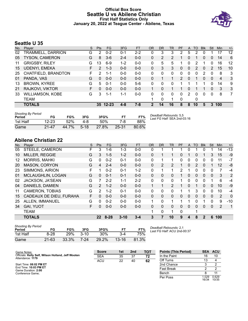### **Official Box Score Seattle U vs Abilene Christian First Half Statistics Only January 20, 2022 at Teague Center - Abilene, Texas**



# **Seattle U 35**

| No. | Player                  | S  | <b>Pts</b> | <b>FG</b> | 3FG     | <b>FT</b> | <b>OR</b> | <b>DR</b> | TR | PF             | A            | TO            | <b>B</b> lk | Stl            | Min            | $+/-$ |
|-----|-------------------------|----|------------|-----------|---------|-----------|-----------|-----------|----|----------------|--------------|---------------|-------------|----------------|----------------|-------|
| 02  | TRAMMELL, DARRION       | G  | 2          | $0 - 2$   | $0 - 1$ | $2 - 2$   | 0         | 3         | 3  | 2              | 5            | 2             |             |                | 17             | 12    |
| 05  | <b>TYSON, CAMERON</b>   | G  | 8          | $3-6$     | $2 - 4$ | $0 - 0$   | 0         | 2         | 2  | 1              | 0            |               | 0           | $\Omega$       | 14             | 6     |
| 11  | <b>GRIGSBY, RILEY</b>   | G  | 13         | $6-9$     | $1 - 2$ | $0-0$     | 0         | 5         | 5  | 1              | 0            | 2             |             | 0              | 16             | 12    |
| 15  | <b>UDENYI, EMEKA</b>    | F. | 2          | $1 - 3$   | $0 - 0$ | $0 - 0$   | 0         | 3         | 3  | 0              | 0            | $\mathcal{P}$ | 0           | $\overline{2}$ | 15             | 10    |
| 25  | CHATFIELD, BRANDTON     | F. | 2          | 1-1       | $0 - 0$ | $0 - 0$   | 0         | 0         | 0  | 0              | 0            | 0             |             | 0              | 8              | 3     |
| 01  | PANDA, VAS              | G  | 0          | $0 - 0$   | $0 - 0$ | $0 - 0$   | 0         |           |    | $\overline{2}$ | $\mathbf{0}$ |               | 0           | $\mathbf{0}$   | $\overline{4}$ | 3     |
| 13  | <b>BROWN, KYREE</b>     | G  | 5          | $0 - 1$   | $0 - 0$ | $5-6$     | 0         | 0         | 0  |                |              |               |             | 0              | 14             | 9     |
| 21  | RAJKOVI, VIKTOR         | F. | 0          | $0 - 0$   | $0 - 0$ | $0 - 0$   |           | $\Omega$  |    |                | 0            |               |             | $\mathbf{0}$   | 3              | 3     |
| 33  | <b>WILLIAMSON, KOBE</b> | G  | 3          | 1-1       | $1 - 1$ | $0 - 0$   | 0         | 0         | 0  | 0              | 2            | 0             | 0           | 0              | 8              | 7     |
|     | TEAM                    |    |            |           |         |           |           | 0         |    | $\Omega$       |              | 0             |             |                |                |       |
|     | <b>TOTALS</b>           |    | 35         | $12 - 23$ | 4-8     | 7-8       | 2         | 14        | 16 | 8              | 8            | 10            | 5           | 3              | 100            |       |

| <b>Shooting By Period</b><br>Period | FG        | FG%   | 3FG    | 3FG%  | FT.   | FT%   | Deadball Rebounds: 5,5<br>Last FG Half: SEA 2nd-03:16 |
|-------------------------------------|-----------|-------|--------|-------|-------|-------|-------------------------------------------------------|
| 1st Half                            | 12-23     | 52%   | 4-8    | 50%   | 7-8   | 88%   |                                                       |
| Game                                | $21 - 47$ | 44.7% | $5-18$ | 27.8% | 25-31 | 80.6% |                                                       |

# **Abilene Christian 22**

| No. | Player                  | S  | Pts             | FG       | 3FG      | <b>FT</b> | <b>OR</b>    | <b>DR</b> | TR           | PF       | A | <b>TO</b> | <b>Blk</b>   | Stl          | Min            | $+/-$          |
|-----|-------------------------|----|-----------------|----------|----------|-----------|--------------|-----------|--------------|----------|---|-----------|--------------|--------------|----------------|----------------|
| 05  | STEELE, CAMERON         | F. | 3               | $1-6$    | 1-3      | $0 - 0$   | 0            |           |              |          | 0 |           | 0            |              | 14             | $-13$          |
| 10  | <b>MILLER, REGGIE</b>   | G  | 3               | $1 - 5$  | $1 - 2$  | $0 - 0$   | 0            |           |              | 0        | 1 | 0         |              | 3            | 15             | $-9$           |
| 12  | <b>MORRIS, MAHKI</b>    | G  | 0               | $0 - 2$  | $0 - 1$  | $0 - 0$   | 0            |           |              | 0        | 0 | 0         | 0            | 0            | 11             | $-7$           |
| 20  | <b>MASON, CORYON</b>    | G  | 4               | $2 - 4$  | $0 - 0$  | $0 - 0$   | 0            | 2         | 2            |          | 0 | 2         | 0            |              | 12             | -8             |
| 23  | SIMMONS, AIRION         | F  |                 | $0 - 2$  | $0 - 1$  | $1 - 2$   | 0            |           |              | 2        | 1 | 0         | 0            | 0            | 7              | -4             |
| 01  | MCLAUGHLIN, LOGAN       | G  | 0               | $0 - 1$  | $0 - 1$  | $0 - 0$   | 0            | 0         | $\mathbf{0}$ |          | 0 | 0         | $\mathbf{0}$ | 0            | 3              | 2              |
| 02  | JACKSON, JA'SEAN        | G  |                 | $2 - 2$  | $1 - 1$  | $2 - 2$   | 0            | 0         | $\Omega$     |          | 0 | 0         | 0            |              | 6              | $-4$           |
| 04  | <b>DANIELS, DAMIEN</b>  | G  | $\mathcal{P}$   | $1 - 2$  | $0 - 0$  | $0 - 0$   | $\mathbf{1}$ |           | 2            |          | 0 |           | 0            | 0            | 10             | $-9$           |
| 11  | <b>CAMERON, TOBIAS</b>  | G  | $\mathcal{P}$   | $1 - 2$  | $0 - 1$  | $0 - 0$   | 0            | 0         | $\Omega$     |          | 1 | 3         | $\Omega$     | 0            | 10             | $-4$           |
| 15  | CADEAUX DE DIEU, FURAHA | F. | 0               | $0 - 0$  | $0 - 0$  | $0 - 0$   | $\Omega$     | 0         | $\mathbf{0}$ | 0        | 0 | 0         | $\Omega$     | $\Omega$     | 2              | $\overline{0}$ |
| 25  | ALLEN, IMMANUEL         | G  | $\Omega$        | $0 - 2$  | $0 - 0$  | $0 - 0$   | 1.           | $\Omega$  |              |          | 1 | 0         |              | $\Omega$     | 9              | $-10$          |
| 34  | GAI, YUOT               | F  | $\Omega$        | $0 - 0$  | $0 - 0$  | $0 - 0$   | 0            | 0         | $\mathbf{0}$ | 0        | 0 | 0         | $\Omega$     | $\mathbf{0}$ | $\overline{2}$ | $\mathbf 1$    |
|     | <b>TEAM</b>             |    |                 |          |          |           | 1            | 0         |              | $\Omega$ |   | 1         |              |              |                |                |
|     | <b>TOTALS</b>           |    | 22 <sub>2</sub> | $8 - 28$ | $3 - 10$ | $3 - 4$   | 3            |           | 10           | 9        | 4 | 8         | 2            | 6            | 100            |                |

| <b>Shooting By Period</b><br>Period | FG        | FG%   | 3FG      | 3FG%  |           | FT%   |
|-------------------------------------|-----------|-------|----------|-------|-----------|-------|
| 1st Half                            | 8-28      | 29%   | $3 - 10$ | 30%   | 3-4       | 75%   |
| Game                                | $21 - 63$ | 33.3% | 7-24     | 29.2% | $13 - 16$ | 81.3% |

*Deadball Rebounds:* 2,1 *Last FG Half:* ACU 2nd-00:37

| Game Notes:                                                            | <b>Score</b> | 1st | 2 <sub>nd</sub> | <b>TOT</b> | <b>Points (This Period)</b> |                | <b>SEA ACU</b> |
|------------------------------------------------------------------------|--------------|-----|-----------------|------------|-----------------------------|----------------|----------------|
| Officials: Kelly Self, Wilson Holland, Jeff Wooten<br>Attendance: 1179 | <b>SEA</b>   | 35  | 37              | 72         | In the Paint                | 16             | 10             |
|                                                                        | <b>ACU</b>   | 22  | 40              | 62         | Off Turns                   | 13             |                |
| Start Time: 08:02 PM ET                                                |              |     |                 |            | 2nd Chance                  |                |                |
| End Time: 10:03 PM ET<br>Game Duration: 2:00                           |              |     |                 |            | <b>Fast Break</b>           |                |                |
| Conference Game:                                                       |              |     |                 |            | Bench                       |                |                |
|                                                                        |              |     |                 |            | Per Poss                    | 1.029<br>16/34 | 0.629<br>10/35 |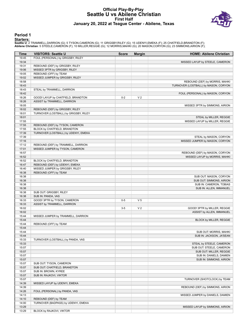#### **Official Play-By-Play Seattle U vs Abilene Christian First Half January 20, 2022 at Teague Center - Abilene, Texas**



#### **Period 1**

<mark>Starters:</mark><br>Seattle U: 2 TRAMMELL,DARRION (G); 5 TYSON,CAMERON (G); 11 GRIGSBY,RILEY (G); 15 UDENYI,EMEKA (F); 25 CHATFIELD,BRANDTON (F);<br>**Abilene Christian**: 5 STEELE,CAMERON (F); 10 MILLER,REGGIE (G); 12 MORRIS,MAHKI (G)

| Time           | <b>VISITORS: Seattle U</b>            | <b>Score</b> | <b>Margin</b>  | <b>HOME: Abilene Christian</b>                                         |
|----------------|---------------------------------------|--------------|----------------|------------------------------------------------------------------------|
| 19:45          | FOUL (PERSONAL) by GRIGSBY, RILEY     |              |                |                                                                        |
| 19:34          |                                       |              |                | MISSED LAYUP by STEELE, CAMERON                                        |
| 19:31          | REBOUND (DEF) by GRIGSBY, RILEY       |              |                |                                                                        |
| 19:06          | MISSED 3PTR by GRIGSBY, RILEY         |              |                |                                                                        |
| 19:05          | REBOUND (OFF) by TEAM                 |              |                |                                                                        |
| 19:02<br>18:58 | MISSED JUMPER by GRIGSBY, RILEY       |              |                |                                                                        |
| 18:43          |                                       |              |                | REBOUND (DEF) by MORRIS, MAHKI<br>TURNOVER (LOSTBALL) by MASON, CORYON |
| 18:43          | STEAL by TRAMMELL, DARRION            |              |                |                                                                        |
| 18:42          |                                       |              |                | FOUL (PERSONAL) by MASON, CORYON                                       |
| 18:26          | GOOD! LAYUP by CHATFIELD, BRANDTON    | $0-2$        | V <sub>2</sub> |                                                                        |
| 18:26          | ASSIST by TRAMMELL, DARRION           |              |                |                                                                        |
| 18:05          |                                       |              |                | MISSED 3PTR by SIMMONS, AIRION                                         |
| 18:02          | REBOUND (DEF) by GRIGSBY, RILEY       |              |                |                                                                        |
| 18:01          | TURNOVER (LOSTBALL) by GRIGSBY, RILEY |              |                |                                                                        |
| 18:01          |                                       |              |                | STEAL by MILLER, REGGIE                                                |
| 17:55          |                                       |              |                | MISSED LAYUP by MILLER, REGGIE                                         |
| 17:55          | REBOUND (DEF) by TYSON, CAMERON       |              |                |                                                                        |
| 17:55          | BLOCK by CHATFIELD, BRANDTON          |              |                |                                                                        |
| 17:39          | TURNOVER (LOSTBALL) by UDENYI, EMEKA  |              |                |                                                                        |
| 17:39          |                                       |              |                | STEAL by MASON, CORYON                                                 |
| 17:16          |                                       |              |                | MISSED JUMPER by MASON, CORYON                                         |
| 17:12          | REBOUND (DEF) by TRAMMELL, DARRION    |              |                |                                                                        |
| 17:01          | MISSED JUMPER by TYSON, CAMERON       |              |                |                                                                        |
| 16:57          |                                       |              |                | REBOUND (DEF) by MASON, CORYON                                         |
| 16:52<br>16:52 | BLOCK by CHATFIELD, BRANDTON          |              |                | MISSED LAYUP by MORRIS, MAHKI                                          |
| 16:47          | REBOUND (DEF) by UDENYI, EMEKA        |              |                |                                                                        |
| 16:40          | MISSED JUMPER by GRIGSBY, RILEY       |              |                |                                                                        |
| 16:38          | REBOUND (OFF) by TEAM                 |              |                |                                                                        |
| 16:38          |                                       |              |                | SUB OUT: MASON, CORYON                                                 |
| 16:38          |                                       |              |                | SUB OUT: SIMMONS, AIRION                                               |
| 16:38          |                                       |              |                | SUB IN: CAMERON, TOBIAS                                                |
| 16:38          |                                       |              |                | SUB IN: ALLEN, IMMANUEL                                                |
| 16:38          | SUB OUT: GRIGSBY, RILEY               |              |                |                                                                        |
| 16:38          | SUB IN: PANDA, VAS                    |              |                |                                                                        |
| 16:33          | GOOD! 3PTR by TYSON, CAMERON          | $0-5$        | V <sub>5</sub> |                                                                        |
| 16:33          | ASSIST by TRAMMELL, DARRION           |              |                |                                                                        |
| 16:02          |                                       | $3-5$        | V <sub>2</sub> | GOOD! 3PTR by MILLER, REGGIE                                           |
| 16:02          |                                       |              |                | ASSIST by ALLEN, IMMANUEL                                              |
| 15:44          | MISSED JUMPER by TRAMMELL, DARRION    |              |                |                                                                        |
| 15:44          |                                       |              |                | BLOCK by MILLER, REGGIE                                                |
| 15:44          | REBOUND (OFF) by TEAM                 |              |                |                                                                        |
| 15:44<br>15:44 |                                       |              |                |                                                                        |
| 15:44          |                                       |              |                | SUB OUT: MORRIS, MAHKI<br>SUB IN: JACKSON, JA'SEAN                     |
| 15:33          | TURNOVER (LOSTBALL) by PANDA, VAS     |              |                |                                                                        |
| 15:33          |                                       |              |                | STEAL by STEELE, CAMERON                                               |
| 15:07          |                                       |              |                | SUB OUT: STEELE, CAMERON                                               |
| 15:07          |                                       |              |                | SUB OUT: MILLER, REGGIE                                                |
| 15:07          |                                       |              |                | SUB IN: DANIELS, DAMIEN                                                |
| 15:07          |                                       |              |                | SUB IN: SIMMONS, AIRION                                                |
| 15:07          | SUB OUT: TYSON, CAMERON               |              |                |                                                                        |
| 15:07          | SUB OUT: CHATFIELD, BRANDTON          |              |                |                                                                        |
| 15:07          | SUB IN: BROWN, KYREE                  |              |                |                                                                        |
| 15:07          | SUB IN: RAJKOVI, VIKTOR               |              |                |                                                                        |
| 15:07          |                                       |              |                | TURNOVER (SHOTCLOCK) by TEAM                                           |
| 14:39          | MISSED LAYUP by UDENYI, EMEKA         |              |                |                                                                        |
| 14:39          |                                       |              |                | REBOUND (DEF) by SIMMONS, AIRION                                       |
| 14:26          | FOUL (PERSONAL) by PANDA, VAS         |              |                |                                                                        |
| 14:13          |                                       |              |                | MISSED JUMPER by DANIELS, DAMIEN                                       |
| 14:10          | REBOUND (DEF) by TEAM                 |              |                |                                                                        |
| 14:00          | TURNOVER (BADPASS) by UDENYI, EMEKA   |              |                |                                                                        |
| 13:29          |                                       |              |                | MISSED LAYUP by SIMMONS, AIRION                                        |
| 13:29          | BLOCK by RAJKOVI, VIKTOR              |              |                |                                                                        |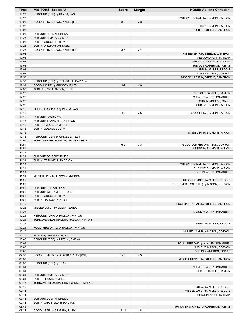| <b>Time</b>    | <b>VISITORS: Seattle U</b>             | <b>Score</b> | <b>Margin</b>  | <b>HOME: Abilene Christian</b>       |
|----------------|----------------------------------------|--------------|----------------|--------------------------------------|
| 13:23          | REBOUND (DEF) by PANDA, VAS            |              |                |                                      |
| 13:23          |                                        |              |                | FOUL (PERSONAL) by SIMMONS, AIRION   |
| 13:23          | GOOD! FT by BROWN, KYREE [FB]          | $3-6$        | V <sub>3</sub> |                                      |
| 13:23          |                                        |              |                | SUB OUT: SIMMONS, AIRION             |
| 13:23<br>13:23 | SUB OUT: UDENYI, EMEKA                 |              |                | SUB IN: STEELE, CAMERON              |
| 13:23          | SUB OUT: RAJKOVI, VIKTOR               |              |                |                                      |
| 13:23          | SUB IN: GRIGSBY, RILEY                 |              |                |                                      |
| 13:23          | SUB IN: WILLIAMSON, KOBE               |              |                |                                      |
| 13:23          | GOOD! FT by BROWN, KYREE [FB]          | $3 - 7$      | V <sub>4</sub> |                                      |
| 13:04          |                                        |              |                | MISSED 3PTR by STEELE, CAMERON       |
| 13:03          |                                        |              |                | REBOUND (OFF) by TEAM                |
| 13:03          |                                        |              |                | SUB OUT: JACKSON, JA'SEAN            |
| 13:03          |                                        |              |                | SUB OUT: CAMERON, TOBIAS             |
| 13:03          |                                        |              |                | SUB IN: MILLER, REGGIE               |
| 13:03          |                                        |              |                | SUB IN: MASON, CORYON                |
| 12:53<br>12:50 | REBOUND (DEF) by TRAMMELL, DARRION     |              |                | MISSED LAYUP by STEELE, CAMERON      |
| 12:39          | GOOD! LAYUP by GRIGSBY, RILEY          | $3-9$        | $V_6$          |                                      |
| 12:39          | ASSIST by WILLIAMSON, KOBE             |              |                |                                      |
| 12:26          |                                        |              |                | SUB OUT: DANIELS, DAMIEN             |
| 12:26          |                                        |              |                | SUB OUT: ALLEN, IMMANUEL             |
| 12:26          |                                        |              |                | SUB IN: MORRIS, MAHKI                |
| 12:26          |                                        |              |                | SUB IN: SIMMONS, AIRION              |
| 12:16          | FOUL (PERSONAL) by PANDA, VAS          |              |                |                                      |
| 12:16          |                                        | $4 - 9$      | V <sub>5</sub> | GOOD! FT by SIMMONS, AIRION          |
| 12:16          | SUB OUT: PANDA, VAS                    |              |                |                                      |
| 12:16          | SUB OUT: TRAMMELL, DARRION             |              |                |                                      |
| 12:16          | SUB IN: TYSON, CAMERON                 |              |                |                                      |
| 12:16<br>12:16 | SUB IN: UDENYI, EMEKA                  |              |                | MISSED FT by SIMMONS, AIRION         |
| 12:15          | REBOUND (DEF) by GRIGSBY, RILEY        |              |                |                                      |
| 12:07          | TURNOVER (BADPASS) by GRIGSBY, RILEY   |              |                |                                      |
| 11:51          |                                        | $6-9$        | $V_3$          | GOOD! JUMPER by MASON, CORYON        |
| 11:51          |                                        |              |                | ASSIST by SIMMONS, AIRION            |
| 11:34          |                                        |              |                |                                      |
| 11:34          | SUB OUT: GRIGSBY, RILEY                |              |                |                                      |
| 11:34          | SUB IN: TRAMMELL, DARRION              |              |                |                                      |
| 11:30          |                                        |              |                | FOUL (PERSONAL) by SIMMONS, AIRION   |
| 11:30          |                                        |              |                | SUB OUT: SIMMONS, AIRION             |
| 11:30          |                                        |              |                | SUB IN: ALLEN, IMMANUEL              |
| 11:24<br>11:21 | MISSED 3PTR by TYSON, CAMERON          |              |                | REBOUND (DEF) by MILLER, REGGIE      |
| 11:01          |                                        |              |                | TURNOVER (LOSTBALL) by MASON, CORYON |
| 11:01          | SUB OUT: BROWN, KYREE                  |              |                |                                      |
| 11:01          | SUB OUT: WILLIAMSON, KOBE              |              |                |                                      |
| 11:01          | SUB IN: GRIGSBY, RILEY                 |              |                |                                      |
| 11:01          | SUB IN: RAJKOVI, VIKTOR                |              |                |                                      |
| 10:40          |                                        |              |                | FOUL (PERSONAL) by STEELE, CAMERON   |
| 10:26          | MISSED LAYUP by UDENYI, EMEKA          |              |                |                                      |
| 10:26          |                                        |              |                | BLOCK by ALLEN, IMMANUEL             |
| 10:21          | REBOUND (OFF) by RAJKOVI, VIKTOR       |              |                |                                      |
| 10:21<br>10:21 | TURNOVER (LOSTBALL) by RAJKOVI, VIKTOR |              |                | STEAL by MILLER, REGGIE              |
| 10:21          | FOUL (PERSONAL) by RAJKOVI, VIKTOR     |              |                |                                      |
| 10:10          |                                        |              |                | MISSED LAYUP by MASON, CORYON        |
| 10:10          | BLOCK by GRIGSBY, RILEY                |              |                |                                      |
| 10:05          | REBOUND (DEF) by UDENYI, EMEKA         |              |                |                                      |
| 10:05          |                                        |              |                | FOUL (PERSONAL) by ALLEN, IMMANUEL   |
| 10:05          |                                        |              |                | SUB OUT: MASON, CORYON               |
| 10:05          |                                        |              |                | SUB IN: CAMERON, TOBIAS              |
| 09:57          | GOOD! JUMPER by GRIGSBY, RILEY [PNT]   | $6 - 11$     | V <sub>5</sub> |                                      |
| 09:37          |                                        |              |                | MISSED JUMPER by STEELE, CAMERON     |
| 09:33          | REBOUND (DEF) by TEAM                  |              |                |                                      |
| 09:31          |                                        |              |                | SUB OUT: ALLEN, IMMANUEL             |
| 09:31<br>09:31 | SUB OUT: RAJKOVI, VIKTOR               |              |                | SUB IN: DANIELS, DAMIEN              |
| 09:31          | SUB IN: BROWN, KYREE                   |              |                |                                      |
| 09:18          | TURNOVER (LOSTBALL) by TYSON, CAMERON  |              |                |                                      |
| 09:18          |                                        |              |                | STEAL by MILLER, REGGIE              |
| 09:14          |                                        |              |                | MISSED LAYUP by MILLER, REGGIE       |
| 09:14          |                                        |              |                | REBOUND (OFF) by TEAM                |
| 09:14          | SUB OUT: UDENYI, EMEKA                 |              |                |                                      |
| 09:14          | SUB IN: CHATFIELD, BRANDTON            |              |                |                                      |
| 08:49          |                                        |              |                | TURNOVER (TRAVEL) by CAMERON, TOBIAS |
| 08:34          | GOOD! 3PTR by GRIGSBY, RILEY           | $6 - 14$     | V8             |                                      |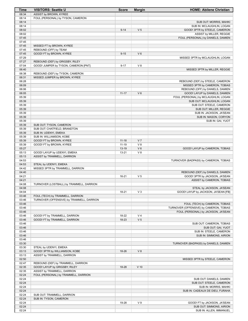| Time           | <b>VISITORS: Seattle U</b>                                       | <b>Score</b> | <b>Margin</b>  | <b>HOME: Abilene Christian</b>                |
|----------------|------------------------------------------------------------------|--------------|----------------|-----------------------------------------------|
| 08:34          | ASSIST by BROWN, KYREE                                           |              |                |                                               |
| 08:14          | FOUL (PERSONAL) by TYSON, CAMERON                                |              |                |                                               |
| 08:14          |                                                                  |              |                | SUB OUT: MORRIS, MAHKI                        |
| 08:14          |                                                                  |              |                | SUB IN: MCLAUGHLIN, LOGAN                     |
| 08:02          |                                                                  | $9 - 14$     | V <sub>5</sub> | GOOD! 3PTR by STEELE, CAMERON                 |
| 08:02          |                                                                  |              |                | ASSIST by MILLER, REGGIE                      |
| 07:45          |                                                                  |              |                | FOUL (PERSONAL) by DANIELS, DAMIEN            |
| 07:45          |                                                                  |              |                |                                               |
| 07:45          | MISSED FT by BROWN, KYREE                                        |              |                |                                               |
| 07:45          | REBOUND (OFF) by TEAM                                            |              |                |                                               |
| 07:45          | GOOD! FT by BROWN, KYREE                                         | $9 - 15$     | $V_6$          |                                               |
| 07:29          |                                                                  |              |                | MISSED 3PTR by MCLAUGHLIN, LOGAN              |
| 07:27          | REBOUND (DEF) by GRIGSBY, RILEY                                  |              |                |                                               |
| 07:04          | GOOD! JUMPER by TYSON, CAMERON [PNT]                             | $9 - 17$     | V8             |                                               |
| 06:40<br>06:38 |                                                                  |              |                | MISSED 3PTR by MILLER, REGGIE                 |
| 06:31          | REBOUND (DEF) by TYSON, CAMERON<br>MISSED JUMPER by BROWN, KYREE |              |                |                                               |
| 06:28          |                                                                  |              |                | REBOUND (DEF) by STEELE, CAMERON              |
| 06:09          |                                                                  |              |                | MISSED 3PTR by CAMERON, TOBIAS                |
| 06:06          |                                                                  |              |                | REBOUND (OFF) by DANIELS, DAMIEN              |
| 06:05          |                                                                  | $11 - 17$    | $V_6$          | GOOD! LAYUP by DANIELS, DAMIEN                |
| 05:39          |                                                                  |              |                | FOUL (PERSONAL) by MCLAUGHLIN, LOGAN          |
| 05:39          |                                                                  |              |                | SUB OUT: MCLAUGHLIN, LOGAN                    |
| 05:39          |                                                                  |              |                | SUB OUT: STEELE, CAMERON                      |
| 05:39          |                                                                  |              |                | SUB OUT: MILLER, REGGIE                       |
| 05:39          |                                                                  |              |                | SUB IN: JACKSON, JA'SEAN                      |
| 05:39          |                                                                  |              |                | SUB IN: MASON, CORYON                         |
| 05:39          |                                                                  |              |                | SUB IN: GAI, YUOT                             |
| 05:39          | SUB OUT: TYSON, CAMERON                                          |              |                |                                               |
| 05:39          | SUB OUT: CHATFIELD, BRANDTON                                     |              |                |                                               |
| 05:39          | SUB IN: UDENYI, EMEKA                                            |              |                |                                               |
| 05:39          | SUB IN: WILLIAMSON, KOBE                                         |              |                |                                               |
| 05:39          | GOOD! FT by BROWN, KYREE                                         | $11 - 18$    | V <sub>7</sub> |                                               |
| 05:39          | GOOD! FT by BROWN, KYREE                                         | $11 - 19$    | V8             |                                               |
| 05:27          |                                                                  | $13-19$      | $V_6$          | GOOD! LAYUP by CAMERON, TOBIAS                |
| 05:13          | GOOD! LAYUP by UDENYI, EMEKA                                     | $13 - 21$    | V8             |                                               |
| 05:13          | ASSIST by TRAMMELL, DARRION                                      |              |                |                                               |
| 04:53          |                                                                  |              |                | TURNOVER (BADPASS) by CAMERON, TOBIAS         |
| 04:53          | STEAL by UDENYI, EMEKA                                           |              |                |                                               |
| 04:42          | MISSED 3PTR by TRAMMELL, DARRION                                 |              |                |                                               |
| 04:40          |                                                                  |              |                | REBOUND (DEF) by DANIELS, DAMIEN              |
| 04:21          |                                                                  | 16-21        | V <sub>5</sub> | GOOD! 3PTR by JACKSON, JA'SEAN                |
| 04:21          |                                                                  |              |                | ASSIST by CAMERON, TOBIAS                     |
| 04:08          | TURNOVER (LOSTBALL) by TRAMMELL, DARRION                         |              |                |                                               |
| 04:08          |                                                                  |              |                | STEAL by JACKSON, JA'SEAN                     |
| 04:04          |                                                                  | 18-21        | $V_3$          | GOOD! LAYUP by JACKSON, JA'SEAN [FB]          |
| 03:46          | FOUL (TECH) by TRAMMELL, DARRION                                 |              |                |                                               |
| 03:46          | TURNOVER (OFFENSIVE) by TRAMMELL, DARRION                        |              |                |                                               |
| 03:46          |                                                                  |              |                | FOUL (TECH) by CAMERON, TOBIAS                |
| 03:46          |                                                                  |              |                | TURNOVER (OFFENSIVE) by CAMERON, TOBIAS       |
| 03:46          |                                                                  |              |                | FOUL (PERSONAL) by JACKSON, JA'SEAN           |
| 03:46          | GOOD! FT by TRAMMELL, DARRION                                    | 18-22        | V <sub>4</sub> |                                               |
| 03:46          | GOOD! FT by TRAMMELL, DARRION                                    | 18-23        | V <sub>5</sub> |                                               |
| 03:46          |                                                                  |              |                | SUB OUT: CAMERON, TOBIAS                      |
| 03:46          |                                                                  |              |                | SUB OUT: GAI, YUOT<br>SUB IN: STEELE, CAMERON |
| 03:46<br>03:46 |                                                                  |              |                | SUB IN: SIMMONS, AIRION                       |
| 03:46          |                                                                  |              |                |                                               |
| 03:30          |                                                                  |              |                | TURNOVER (BADPASS) by DANIELS, DAMIEN         |
| 03:30          | STEAL by UDENYI, EMEKA                                           |              |                |                                               |
| 03:13          | GOOD! 3PTR by WILLIAMSON, KOBE                                   | 18-26        | V8             |                                               |
| 03:13          | ASSIST by TRAMMELL, DARRION                                      |              |                |                                               |
| 02:50          |                                                                  |              |                | MISSED 3PTR by STEELE, CAMERON                |
| 02:47          | REBOUND (DEF) by TRAMMELL, DARRION                               |              |                |                                               |
| 02:35          | GOOD! LAYUP by GRIGSBY, RILEY                                    | 18-28        | $V$ 10         |                                               |
| 02:35          | ASSIST by TRAMMELL, DARRION                                      |              |                |                                               |
| 02:24          | FOUL (PERSONAL) by TRAMMELL, DARRION                             |              |                |                                               |
| 02:24          |                                                                  |              |                | SUB OUT: DANIELS, DAMIEN                      |
| 02:24          |                                                                  |              |                | SUB OUT: STEELE, CAMERON                      |
| 02:24          |                                                                  |              |                | SUB IN: MORRIS, MAHKI                         |
| 02:24          |                                                                  |              |                | SUB IN: CADEAUX DE DIEU, FURAHA               |
| 02:24          | SUB OUT: TRAMMELL, DARRION                                       |              |                |                                               |
| 02:24          | SUB IN: TYSON, CAMERON                                           |              |                |                                               |
| 02:24          |                                                                  | 19-28        | V <sub>9</sub> | GOOD! FT by JACKSON, JA'SEAN                  |
| 02:24          |                                                                  |              |                | SUB OUT: SIMMONS, AIRION                      |
| 02:24          |                                                                  |              |                | SUB IN: ALLEN, IMMANUEL                       |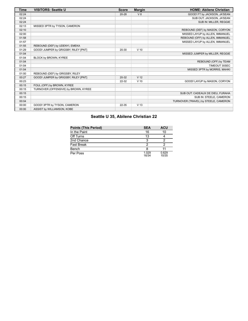| <b>Time</b> | <b>VISITORS: Seattle U</b>           | <b>Score</b> | <b>Margin</b>   | <b>HOME: Abilene Christian</b>       |
|-------------|--------------------------------------|--------------|-----------------|--------------------------------------|
| 02:24       |                                      | $20 - 28$    | V8              | GOOD! FT by JACKSON, JA'SEAN         |
| 02:24       |                                      |              |                 | SUB OUT: JACKSON, JA'SEAN            |
| 02:24       |                                      |              |                 | SUB IN: MILLER, REGGIE               |
| 02:13       | MISSED 3PTR by TYSON, CAMERON        |              |                 |                                      |
| 02:10       |                                      |              |                 | REBOUND (DEF) by MASON, CORYON       |
| 02:00       |                                      |              |                 | MISSED LAYUP by ALLEN, IMMANUEL      |
| 01:58       |                                      |              |                 | REBOUND (OFF) by ALLEN, IMMANUEL     |
| 01:57       |                                      |              |                 | MISSED LAYUP by ALLEN, IMMANUEL      |
| 01:55       | REBOUND (DEF) by UDENYI, EMEKA       |              |                 |                                      |
| 01:29       | GOOD! JUMPER by GRIGSBY, RILEY [PNT] | 20-30        | $V$ 10          |                                      |
| 01:04       |                                      |              |                 | MISSED JUMPER by MILLER, REGGIE      |
| 01:04       | BLOCK by BROWN, KYREE                |              |                 |                                      |
| 01:04       |                                      |              |                 | REBOUND (OFF) by TEAM                |
| 01:04       |                                      |              |                 | TIMEOUT 30SEC                        |
| 01:04       |                                      |              |                 | MISSED 3PTR by MORRIS, MAHKI         |
| 01:00       | REBOUND (DEF) by GRIGSBY, RILEY      |              |                 |                                      |
| 00:27       | GOOD! JUMPER by GRIGSBY, RILEY [PNT] | 20-32        | V <sub>12</sub> |                                      |
| 00:23       |                                      | 22-32        | $V$ 10          | GOOD! LAYUP by MASON, CORYON         |
| 00:15       | FOUL (OFF) by BROWN, KYREE           |              |                 |                                      |
| 00:15       | TURNOVER (OFFENSIVE) by BROWN, KYREE |              |                 |                                      |
| 00:15       |                                      |              |                 | SUB OUT: CADEAUX DE DIEU, FURAHA     |
| 00:15       |                                      |              |                 | SUB IN: STEELE, CAMERON              |
| 00:04       |                                      |              |                 | TURNOVER (TRAVEL) by STEELE, CAMERON |
| 00:00       | GOOD! 3PTR by TYSON, CAMERON         | 22-35        | V <sub>13</sub> |                                      |
| 00:00       | ASSIST by WILLIAMSON, KOBE           |              |                 |                                      |

# **Seattle U 35, Abilene Christian 22**

| <b>Points (This Period)</b> | <b>SEA</b>     | <b>ACU</b>     |
|-----------------------------|----------------|----------------|
| In the Paint                | 16             | 10             |
| Off Turns                   | 13             |                |
| 2nd Chance                  | 3              |                |
| <b>Fast Break</b>           |                |                |
| Bench                       |                |                |
| Per Poss                    | 1.029<br>16/34 | 0.629<br>10/35 |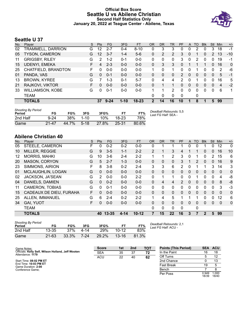### **Official Box Score Seattle U vs Abilene Christian Second Half Statistics Only January 20, 2022 at Teague Center - Abilene, Texas**



## **Seattle U 37**

| No. | Plaver                  | S  | <b>Pts</b> | <b>FG</b> | 3FG      | <b>FT</b> | <b>OR</b>   | DR | TR | PF | A            | TO       | <b>Blk</b>   | Stl         | Min            | $+/-$        |
|-----|-------------------------|----|------------|-----------|----------|-----------|-------------|----|----|----|--------------|----------|--------------|-------------|----------------|--------------|
| 02  | TRAMMELL, DARRION       | G  | 12         | $2 - 7$   | $0 - 4$  | $8 - 10$  | 0           | 3  | 3  | 0  | 0            | 2        | 0            | 3           | 18             | -1           |
| 05  | <b>TYSON, CAMERON</b>   | G  | 12         | $3 - 7$   | $1 - 4$  | $5-6$     | 0           | 2  | 2  | 3  | $\mathbf{0}$ |          | 0            | 2           | 13             | $-10$        |
| 11  | <b>GRIGSBY, RILEY</b>   | G  | 2          | $1 - 2$   | $0 - 1$  | $0 - 0$   | 0           | 0  | 0  | 3  | 0            | 2        | $\mathbf{0}$ | $\Omega$    | 19             | -1           |
| 15  | <b>UDENYI, EMEKA</b>    | F. | 4          | $2 - 3$   | $0 - 0$  | $0 - 0$   | 0           | 3  | 3  | 0  |              |          | 1            | $\Omega$    | 16             | $\mathbf{0}$ |
| 25  | CHATFIELD, BRANDTON     | F  | 0          | $0 - 0$   | $0 - 0$  | $0 - 0$   | 1           | 0  | 1  | 0  | $\Omega$     |          | 0            | $\Omega$    | 2              | -6           |
| 01  | PANDA, VAS              | G  | 0          | $0 - 1$   | $0 - 0$  | $0 - 0$   | 0           | 0  | 0  | 2  | $\Omega$     | $\Omega$ | 0            | $\Omega$    | 5              | -1           |
| 13  | <b>BROWN, KYREE</b>     | G  | 7          | 1-3       | $0 - 1$  | $5 - 7$   | 0           | 4  | 4  | 2  | 0            |          | 0            | 0           | 16             | 5            |
| 21  | RAJKOVI, VIKTOR         | F  | 0          | $0 - 0$   | $0 - 0$  | $0 - 0$   | $\Omega$    |    |    | 0  | $\Omega$     | 0        | 0            | $\Omega$    | $\overline{4}$ | $-2$         |
| 33  | <b>WILLIAMSON, KOBE</b> | G  | 0          | $0 - 1$   | $0-0$    | $0 - 0$   | 1           |    | 2  | 0  | $\Omega$     | 0        | 0            | $\mathbf 0$ | 6              | 1            |
|     | TEAM                    |    |            |           |          |           | 0           | 0  | 0  | 0  |              | 0        |              |             |                |              |
|     | <b>TOTALS</b>           |    | 37         | $9 - 24$  | $1 - 10$ | $18 - 23$ | $\mathbf 2$ | 14 | 16 | 10 |              | 8        |              | 5           | 99             |              |
|     |                         |    |            |           |          |           |             |    |    |    |              |          |              |             |                |              |

| <b>Shooting By Period</b><br>Period | FG        | FG%        | 3FG      | 3FG%  |         | FT%   | Deadball Rebounds: 5,5<br>Last FG Half: SEA - |
|-------------------------------------|-----------|------------|----------|-------|---------|-------|-----------------------------------------------|
| 2nd Half                            | $9 - 24$  | <b>38%</b> | $1 - 10$ | 10%   | $18-23$ | 78%   |                                               |
| Game                                | $21 - 47$ | 44.7%      | $5-18$   | 27.8% | 25-31   | 80.6% |                                               |

# **Abilene Christian 40**

| No. | Player                  | S | <b>Pts</b> | FG.     | 3FG     | <b>FT</b> | <b>OR</b> | DR.          | TR | PF       | A            | TO           | <b>BIK</b>  | Stl          | Min      | $+/-$        |
|-----|-------------------------|---|------------|---------|---------|-----------|-----------|--------------|----|----------|--------------|--------------|-------------|--------------|----------|--------------|
| 05  | STEELE, CAMERON         | F | 0          | $0 - 2$ | $0 - 2$ | $0 - 0$   | 0         |              |    |          | 0            | 0            |             | 0            | 12       | $\mathbf 0$  |
| 10  | MILLER, REGGIE          | G | 9          | $3 - 5$ | $1 - 1$ | $2 - 2$   | 2         |              | 3  | 4        |              |              | 0           | $\mathbf{0}$ | 16       | 10           |
| 12  | <b>MORRIS, MAHKI</b>    | G | 10         | $3-6$   | $2 - 4$ | $2 - 2$   | 1         |              | 2  | 3        | 0            |              | 0           | 2            | 15       | 6            |
| 20  | <b>MASON, CORYON</b>    | G | 5          | $2 - 7$ | $1 - 3$ | $0 - 0$   | $\Omega$  | $\mathbf{0}$ | 0  | 3        |              | 2            | 0           | $\mathbf{0}$ | 16       | 9            |
| 23  | SIMMONS, AIRION         | F | 8          | $3 - 8$ | $0 - 2$ | $2 - 4$   | 3         | 3            | 6  | 2        | 0            |              |             | 3            | 14       | 3            |
| 01  | MCLAUGHLIN, LOGAN       | G | 0          | $0 - 0$ | $0 - 0$ | $0 - 0$   | $\Omega$  | $\mathbf{0}$ | 0  | 0        | 0            | 0            | 0           | $\Omega$     | $\Omega$ | $\mathbf 0$  |
| 02  | JACKSON, JA'SEAN        | G | 2          | $0 - 0$ | $0-0$   | $2 - 2$   | 0         |              | 1  | 0        | 0            |              | 0           | 0            | 4        | -8           |
| 04  | DANIELS, DAMIEN         | G | 0          | $0 - 2$ | $0 - 0$ | $0 - 0$   | $\Omega$  | 4            | 4  | 2        | $\Omega$     | 0            | $\Omega$    | $\Omega$     | 8        | -8           |
| 11  | <b>CAMERON, TOBIAS</b>  | G | 0          | $0 - 1$ | $0-0$   | $0-0$     | 0         | $\mathbf{0}$ | 0  | $\Omega$ | 0            | 0            | $\Omega$    | $\mathbf{0}$ | 3        | -3           |
| 15  | CADEAUX DE DIEU, FURAHA | F | 0          | $0 - 0$ | $0 - 0$ | $0 - 0$   | $\Omega$  | $\Omega$     | 0  | $\Omega$ | $\Omega$     | $\Omega$     | $\Omega$    | $\Omega$     | $\Omega$ | $\mathbf{0}$ |
| 25  | ALLEN, IMMANUEL         | G | 6          | $2 - 4$ | $0 - 2$ | $2 - 2$   | 1         | 4            | 5  |          |              |              | 0           | 0            | 12       | 6            |
| 34  | <b>GAI, YUOT</b>        | F | 0          | $0 - 0$ | $0 - 0$ | $0 - 0$   | $\Omega$  | $\Omega$     | 0  | 0        | $\mathbf{0}$ | $\mathbf{0}$ | 0           | $\mathbf{0}$ | $\Omega$ | $\mathbf{0}$ |
|     | <b>TEAM</b>             |   |            |         |         |           | 0         | 0            | 0  | 0        |              | 0            |             |              |          |              |
|     | <b>TOTALS</b>           |   | 40         | 13-35   | 4-14    | $10 - 12$ | 7         | 15           | 22 | 16       | 3            | 7            | $\mathbf 2$ | 5            | 99       |              |
|     |                         |   |            |         |         |           |           |              |    |          |              |              |             |              |          |              |

| <b>Shooting By Period</b><br>Period | FG        | FG%   | 3FG  | 3FG%  |           | FT%   |
|-------------------------------------|-----------|-------|------|-------|-----------|-------|
| 2nd Half                            | $13 - 35$ | 37%   | 4-14 | 29%   | $10 - 12$ | 83%   |
| Game                                | $21 - 63$ | 33.3% | 7-24 | 29.2% | $13 - 16$ | 81.3% |

*Deadball Rebounds:* 2,1 *Last FG Half:* ACU -

| Game Notes:                                                            | <b>Score</b> | 1st | 2 <sub>nd</sub> | тот | <b>Points (This Period)</b> | <b>SEA</b>     | <b>ACU</b>     |
|------------------------------------------------------------------------|--------------|-----|-----------------|-----|-----------------------------|----------------|----------------|
| Officials: Kelly Self, Wilson Holland, Jeff Wooten<br>Attendance: 1179 | <b>SEA</b>   | 35  | 37              | 72  | In the Paint                |                | 18             |
|                                                                        | <b>ACU</b>   | 22  | 40              | 62  | Off Turns                   |                | 12             |
| Start Time: 08:02 PM ET                                                |              |     |                 |     | 2nd Chance                  |                | 13             |
| End Time: 10:03 PM ET<br>Game Duration: 2:00                           |              |     |                 |     | <b>Fast Break</b>           | 19             |                |
| Conference Game:                                                       |              |     |                 |     | Bench                       |                |                |
|                                                                        |              |     |                 |     | Per Poss                    | 0.949<br>18/39 | 1.000<br>18/40 |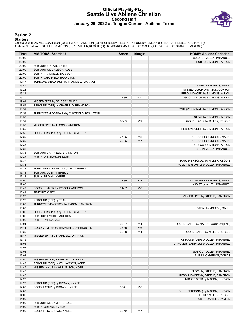### **Official Play-By-Play Seattle U vs Abilene Christian Second Half January 20, 2022 at Teague Center - Abilene, Texas**



#### **Period 2**

<mark>Starters:</mark><br>Seattle U: 2 TRAMMELL,DARRION (G); 5 TYSON,CAMERON (G); 11 GRIGSBY,RILEY (G); 15 UDENYI,EMEKA (F); 25 CHATFIELD,BRANDTON (F);<br>**Abilene Christian**: 5 STEELE,CAMERON (F); 10 MILLER,REGGIE (G); 12 MORRIS,MAHKI (G)

| Time  | <b>VISITORS: Seattle U</b>                                    | <b>Score</b> | <b>Margin</b>  | <b>HOME: Abilene Christian</b>        |
|-------|---------------------------------------------------------------|--------------|----------------|---------------------------------------|
| 20:00 |                                                               |              |                | SUB OUT: ALLEN, IMMANUEL              |
| 20:00 |                                                               |              |                | SUB IN: SIMMONS, AIRION               |
| 20:00 | SUB OUT: BROWN, KYREE                                         |              |                |                                       |
| 20:00 | SUB OUT: WILLIAMSON, KOBE                                     |              |                |                                       |
| 20:00 | SUB IN: TRAMMELL, DARRION                                     |              |                |                                       |
| 20:00 | SUB IN: CHATFIELD, BRANDTON                                   |              |                |                                       |
| 19:47 | TURNOVER (BADPASS) by TRAMMELL, DARRION                       |              |                |                                       |
| 19:47 |                                                               |              |                | STEAL by MORRIS, MAHKI                |
| 19:24 |                                                               |              |                | MISSED LAYUP by MASON, CORYON         |
| 19:21 |                                                               |              |                | REBOUND (OFF) by SIMMONS, AIRION      |
| 19:20 |                                                               | 24-35        | $V$ 11         | GOOD! LAYUP by SIMMONS, AIRION        |
| 19:01 | MISSED 3PTR by GRIGSBY, RILEY                                 |              |                |                                       |
| 18:59 | REBOUND (OFF) by CHATFIELD, BRANDTON                          |              |                |                                       |
| 18:59 |                                                               |              |                | FOUL (PERSONAL) by SIMMONS, AIRION    |
| 18:59 | TURNOVER (LOSTBALL) by CHATFIELD, BRANDTON                    |              |                |                                       |
| 18:59 |                                                               |              |                | STEAL by SIMMONS, AIRION              |
| 18:59 |                                                               | 26-35        | V <sub>9</sub> | GOOD! LAYUP by MILLER, REGGIE         |
| 18:59 | MISSED 3PTR by TYSON, CAMERON                                 |              |                |                                       |
| 18:59 |                                                               |              |                | REBOUND (DEF) by SIMMONS, AIRION      |
| 17:59 | FOUL (PERSONAL) by TYSON, CAMERON                             |              |                |                                       |
| 17:39 |                                                               | 27-35        | V8             | GOOD! FT by MORRIS, MAHKI             |
| 17:39 |                                                               | 28-35        | V <sub>7</sub> | GOOD! FT by MORRIS, MAHKI             |
| 17:38 |                                                               |              |                | SUB OUT: SIMMONS, AIRION              |
| 17:38 |                                                               |              |                | SUB IN: ALLEN, IMMANUEL               |
| 17:38 | SUB OUT: CHATFIELD, BRANDTON                                  |              |                |                                       |
| 17:38 | SUB IN: WILLIAMSON, KOBE                                      |              |                |                                       |
| 17:37 |                                                               |              |                | FOUL (PERSONAL) by MILLER, REGGIE     |
| 17:34 |                                                               |              |                | FOUL (PERSONAL) by ALLEN, IMMANUEL    |
| 17:18 | TURNOVER (TRAVEL) by UDENYI, EMEKA                            |              |                |                                       |
| 17:18 | SUB OUT: UDENYI, EMEKA                                        |              |                |                                       |
| 17:18 | SUB IN: BROWN, KYREE                                          |              |                |                                       |
| 17:00 |                                                               | 31-35        | V <sub>4</sub> |                                       |
| 17:00 |                                                               |              |                | GOOD! 3PTR by MORRIS, MAHKI           |
| 16:43 |                                                               | 31-37        | $V_6$          | ASSIST by ALLEN, IMMANUEL             |
| 16:41 | GOOD! JUMPER by TYSON, CAMERON<br>TIMEOUT 30SEC               |              |                |                                       |
| 16:27 |                                                               |              |                |                                       |
| 16:26 |                                                               |              |                | MISSED 3PTR by STEELE, CAMERON        |
| 16:08 | REBOUND (DEF) by TEAM<br>TURNOVER (BADPASS) by TYSON, CAMERON |              |                |                                       |
| 16:08 |                                                               |              |                |                                       |
| 16:06 | FOUL (PERSONAL) by TYSON, CAMERON                             |              |                | STEAL by MORRIS, MAHKI                |
|       | SUB OUT: TYSON, CAMERON                                       |              |                |                                       |
| 16:06 | SUB IN: PANDA, VAS                                            |              |                |                                       |
| 16:06 |                                                               |              |                |                                       |
| 16:04 |                                                               | 33-37        | V <sub>4</sub> | GOOD! LAYUP by MASON, CORYON [PNT]    |
| 15:44 | GOOD! JUMPER by TRAMMELL, DARRION [PNT]                       | 33-39        | $V_6$          |                                       |
| 15:30 |                                                               | 35-39        | V <sub>4</sub> | GOOD! LAYUP by MILLER, REGGIE         |
| 15:17 | MISSED 3PTR by TRAMMELL, DARRION                              |              |                |                                       |
| 15:15 |                                                               |              |                | REBOUND (DEF) by ALLEN, IMMANUEL      |
| 15:03 |                                                               |              |                | TURNOVER (BADPASS) by ALLEN, IMMANUEL |
| 15:03 |                                                               |              |                |                                       |
| 15:03 |                                                               |              |                | SUB OUT: ALLEN, IMMANUEL              |
| 15:03 |                                                               |              |                | SUB IN: CAMERON, TOBIAS               |
| 14:50 | MISSED 3PTR by TRAMMELL, DARRION                              |              |                |                                       |
| 14:48 | REBOUND (OFF) by WILLIAMSON, KOBE                             |              |                |                                       |
| 14:47 | MISSED LAYUP by WILLIAMSON, KOBE                              |              |                |                                       |
| 14:47 |                                                               |              |                | BLOCK by STEELE, CAMERON              |
| 14:40 |                                                               |              |                | REBOUND (DEF) by STEELE, CAMERON      |
| 14:23 |                                                               |              |                | MISSED 3PTR by MASON, CORYON          |
| 14:20 | REBOUND (DEF) by BROWN, KYREE                                 |              |                |                                       |
| 14:09 | GOOD! LAYUP by BROWN, KYREE                                   | 35-41        | $V_6$          |                                       |
| 14:09 |                                                               |              |                | FOUL (PERSONAL) by MASON, CORYON      |
| 14:09 |                                                               |              |                | SUB OUT: MILLER, REGGIE               |
| 14:09 |                                                               |              |                | SUB IN: DANIELS, DAMIEN               |
| 14:09 | SUB OUT: WILLIAMSON, KOBE                                     |              |                |                                       |
| 14:09 | SUB IN: UDENYI, EMEKA                                         |              |                |                                       |
| 14:09 | GOOD! FT by BROWN, KYREE                                      | 35-42        | V <sub>7</sub> |                                       |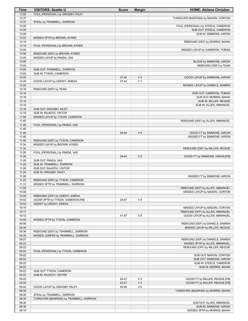| Time           | <b>VISITORS: Seattle U</b>                                          | <b>Score</b>   | <b>Margin</b>                    | <b>HOME: Abilene Christian</b>                                     |
|----------------|---------------------------------------------------------------------|----------------|----------------------------------|--------------------------------------------------------------------|
| 13:55          | FOUL (PERSONAL) by GRIGSBY, RILEY                                   |                |                                  |                                                                    |
| 13:37          |                                                                     |                |                                  | TURNOVER (BADPASS) by MASON, CORYON                                |
| 13:37          | STEAL by TRAMMELL, DARRION                                          |                |                                  |                                                                    |
| 13:29<br>13:29 |                                                                     |                |                                  | FOUL (PERSONAL) by STEELE, CAMERON<br>SUB OUT: STEELE, CAMERON     |
| 13:29          |                                                                     |                |                                  | SUB IN: SIMMONS, AIRION                                            |
| 13:22          | MISSED 3PTR by BROWN, KYREE                                         |                |                                  |                                                                    |
| 13:19          |                                                                     |                |                                  | REBOUND (DEF) by MORRIS, MAHKI                                     |
| 13:15          | FOUL (PERSONAL) by BROWN, KYREE                                     |                |                                  |                                                                    |
| 13:09          |                                                                     |                |                                  | MISSED LAYUP by CAMERON, TOBIAS                                    |
| 13:06          | REBOUND (DEF) by BROWN, KYREE                                       |                |                                  |                                                                    |
| 13:05          | MISSED LAYUP by PANDA, VAS                                          |                |                                  |                                                                    |
| 13:05<br>13:05 |                                                                     |                |                                  | BLOCK by SIMMONS, AIRION<br>REBOUND (DEF) by TEAM                  |
| 13:05          | SUB OUT: TRAMMELL, DARRION                                          |                |                                  |                                                                    |
| 13:05          | SUB IN: TYSON, CAMERON                                              |                |                                  |                                                                    |
| 12:45          |                                                                     | $37 - 42$      | V <sub>5</sub>                   | GOOD! LAYUP by SIMMONS, AIRION                                     |
| 12:29          | GOOD! LAYUP by UDENYI, EMEKA                                        | 37-44          | V <sub>7</sub>                   |                                                                    |
| 12:20          |                                                                     |                |                                  | MISSED LAYUP by DANIELS, DAMIEN                                    |
| 12:18<br>12:18 | REBOUND (DEF) by TEAM                                               |                |                                  | SUB OUT: CAMERON, TOBIAS                                           |
| 12:18          |                                                                     |                |                                  | SUB OUT: MORRIS, MAHKI                                             |
| 12:18          |                                                                     |                |                                  | SUB IN: MILLER, REGGIE                                             |
| 12:18          |                                                                     |                |                                  | SUB IN: ALLEN, IMMANUEL                                            |
| 12:18          | SUB OUT: GRIGSBY, RILEY                                             |                |                                  |                                                                    |
| 12:18          | SUB IN: RAJKOVI, VIKTOR                                             |                |                                  |                                                                    |
| 11:59<br>11:55 | MISSED LAYUP by TYSON, CAMERON                                      |                |                                  | REBOUND (DEF) by ALLEN, IMMANUEL                                   |
| 11:48          | FOUL (PERSONAL) by PANDA, VAS                                       |                |                                  |                                                                    |
| 11:48          |                                                                     |                |                                  |                                                                    |
| 11:48          |                                                                     | 38-44          | $V_6$                            | GOOD! FT by SIMMONS, AIRION                                        |
| 11:48          |                                                                     |                |                                  | MISSED FT by SIMMONS, AIRION                                       |
| 11:46          | REBOUND (DEF) by TYSON, CAMERON                                     |                |                                  |                                                                    |
| 11:34<br>11:32 | MISSED LAYUP by BROWN, KYREE                                        |                |                                  | REBOUND (DEF) by MILLER, REGGIE                                    |
| 11:28          | FOUL (PERSONAL) by PANDA, VAS                                       |                |                                  |                                                                    |
| 11:28          |                                                                     | 39-44          | V <sub>5</sub>                   | GOOD! FT by SIMMONS, AIRION [FB]                                   |
| 11:28          | SUB OUT: PANDA, VAS                                                 |                |                                  |                                                                    |
| 11:28          | SUB IN: TRAMMELL, DARRION                                           |                |                                  |                                                                    |
| 11:28<br>11:28 | SUB OUT: RAJKOVI, VIKTOR                                            |                |                                  |                                                                    |
| 11:28          | SUB IN: GRIGSBY, RILEY                                              |                |                                  | MISSED FT by SIMMONS, AIRION                                       |
| 11:25          | REBOUND (DEF) by TYSON, CAMERON                                     |                |                                  |                                                                    |
| 11:13          | MISSED 3PTR by TRAMMELL, DARRION                                    |                |                                  |                                                                    |
| 11:09          |                                                                     |                |                                  | REBOUND (DEF) by ALLEN, IMMANUEL                                   |
| 10:49          |                                                                     |                |                                  | MISSED LAYUP by MASON, CORYON                                      |
| 10:45<br>10:42 | REBOUND (DEF) by UDENYI, EMEKA<br>GOOD! 3PTR by TYSON, CAMERON [FB] | 39-47          | V8                               |                                                                    |
| 10:42          | ASSIST by UDENYI, EMEKA                                             |                |                                  |                                                                    |
| 10:19          |                                                                     |                |                                  | MISSED LAYUP by MASON, CORYON                                      |
| 10:17          |                                                                     |                |                                  | REBOUND (OFF) by ALLEN, IMMANUEL                                   |
| 10:15          |                                                                     | 41-47          | $V_6$                            | GOOD! LAYUP by ALLEN, IMMANUEL                                     |
| 10:00          | MISSED 3PTR by TYSON, CAMERON                                       |                |                                  |                                                                    |
| 09:56<br>09:39 |                                                                     |                |                                  | REBOUND (DEF) by DANIELS, DAMIEN<br>MISSED LAYUP by MILLER, REGGIE |
| 09:36          | REBOUND (DEF) by TRAMMELL, DARRION                                  |                |                                  |                                                                    |
| 09:30          | MISSED JUMPER by TRAMMELL, DARRION                                  |                |                                  |                                                                    |
| 09:27          |                                                                     |                |                                  | REBOUND (DEF) by DANIELS, DAMIEN                                   |
| 09:23          |                                                                     |                |                                  | MISSED 3PTR by ALLEN, IMMANUEL                                     |
| 09:22          |                                                                     |                |                                  | REBOUND (OFF) by MILLER, REGGIE                                    |
| 09:22<br>09:22 | FOUL (PERSONAL) by TYSON, CAMERON                                   |                |                                  | SUB OUT: MASON, CORYON                                             |
| 09:22          |                                                                     |                |                                  | SUB OUT: SIMMONS, AIRION                                           |
| 09:22          |                                                                     |                |                                  | SUB IN: STEELE, CAMERON                                            |
| 09:22          |                                                                     |                |                                  | SUB IN: MORRIS, MAHKI                                              |
| 09:22          | SUB OUT: TYSON, CAMERON                                             |                |                                  |                                                                    |
| 09:22          | SUB IN: RAJKOVI, VIKTOR                                             |                |                                  |                                                                    |
| 09:22<br>09:22 |                                                                     | 42-47<br>43-47 | V <sub>5</sub><br>V <sub>4</sub> | GOOD! FT by MILLER, REGGIE [FB]<br>GOOD! FT by MILLER, REGGIE [FB] |
| 09:02          | GOOD! LAYUP by GRIGSBY, RILEY                                       | 43-49          | $V_6$                            |                                                                    |
| 08:39          |                                                                     |                |                                  | TURNOVER (BADPASS) by MORRIS, MAHKI                                |
| 08:39          | STEAL by TRAMMELL, DARRION                                          |                |                                  |                                                                    |
| 08:30          | TURNOVER (BADPASS) by TRAMMELL, DARRION                             |                |                                  |                                                                    |
| 08:30          |                                                                     |                |                                  | SUB OUT: ALLEN, IMMANUEL                                           |
| 08:30<br>08:19 |                                                                     |                |                                  | SUB IN: SIMMONS, AIRION<br>MISSED 3PTR by MORRIS, MAHKI            |
|                |                                                                     |                |                                  |                                                                    |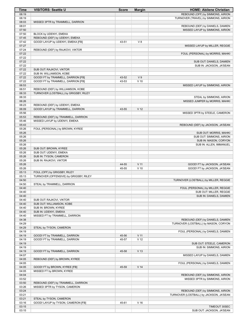| Time           | <b>VISITORS: Seattle U</b>                                             | <b>Score</b>   | <b>Margin</b>            | <b>HOME: Abilene Christian</b>          |
|----------------|------------------------------------------------------------------------|----------------|--------------------------|-----------------------------------------|
| 08:19          |                                                                        |                |                          | REBOUND (OFF) by SIMMONS, AIRION        |
| 08:19          |                                                                        |                |                          | TURNOVER (TRAVEL) by SIMMONS, AIRION    |
| 08:03          | MISSED 3PTR by TRAMMELL, DARRION                                       |                |                          |                                         |
| 08:01          |                                                                        |                |                          | REBOUND (DEF) by DANIELS, DAMIEN        |
| 07:50<br>07:50 | BLOCK by UDENYI, EMEKA                                                 |                |                          | MISSED LAYUP by SIMMONS, AIRION         |
| 07:45          | REBOUND (DEF) by UDENYI, EMEKA                                         |                |                          |                                         |
| 07:42          | GOOD! LAYUP by UDENYI, EMEKA [FB]                                      | 43-51          | V8                       |                                         |
| 07:27          |                                                                        |                |                          | MISSED LAYUP by MILLER, REGGIE          |
| 07:24          | REBOUND (DEF) by RAJKOVI, VIKTOR                                       |                |                          |                                         |
| 07:22          |                                                                        |                |                          | FOUL (PERSONAL) by MORRIS, MAHKI        |
| 07:22          |                                                                        |                |                          |                                         |
| 07:22          |                                                                        |                |                          | SUB OUT: DANIELS, DAMIEN                |
| 07:22          |                                                                        |                |                          | SUB IN: JACKSON, JA'SEAN                |
| 07:22          | SUB OUT: RAJKOVI, VIKTOR                                               |                |                          |                                         |
| 07:22          | SUB IN: WILLIAMSON, KOBE                                               |                |                          |                                         |
| 07:22<br>07:22 | GOOD! FT by TRAMMELL, DARRION [FB]                                     | 43-52<br>43-53 | V <sub>9</sub><br>$V$ 10 |                                         |
| 06:53          | GOOD! FT by TRAMMELL, DARRION [FB]                                     |                |                          | MISSED LAYUP by SIMMONS, AIRION         |
| 06:51          | REBOUND (DEF) by WILLIAMSON, KOBE                                      |                |                          |                                         |
| 06:33          | TURNOVER (LOSTBALL) by GRIGSBY, RILEY                                  |                |                          |                                         |
| 06:33          |                                                                        |                |                          | STEAL by SIMMONS, AIRION                |
| 06:26          |                                                                        |                |                          | MISSED JUMPER by MORRIS, MAHKI          |
| 06:23          | REBOUND (DEF) by UDENYI, EMEKA                                         |                |                          |                                         |
| 06:09          | GOOD! LAYUP by TRAMMELL, DARRION                                       | 43-55          | V <sub>12</sub>          |                                         |
| 05:56          |                                                                        |                |                          | MISSED 3PTR by STEELE, CAMERON          |
| 05:53          | REBOUND (DEF) by TRAMMELL, DARRION                                     |                |                          |                                         |
| 05:46          | MISSED LAYUP by UDENYI, EMEKA                                          |                |                          |                                         |
| 05:43          |                                                                        |                |                          | REBOUND (DEF) by JACKSON, JA'SEAN       |
| 05:26<br>05:26 | FOUL (PERSONAL) by BROWN, KYREE                                        |                |                          | SUB OUT: MORRIS, MAHKI                  |
| 05:26          |                                                                        |                |                          | SUB OUT: SIMMONS, AIRION                |
| 05:26          |                                                                        |                |                          | SUB IN: MASON, CORYON                   |
| 05:26          |                                                                        |                |                          | SUB IN: ALLEN, IMMANUEL                 |
| 05:26          | SUB OUT: BROWN, KYREE                                                  |                |                          |                                         |
| 05:26          | SUB OUT: UDENYI, EMEKA                                                 |                |                          |                                         |
| 05:26          | SUB IN: TYSON, CAMERON                                                 |                |                          |                                         |
| 05:26          | SUB IN: RAJKOVI, VIKTOR                                                |                |                          |                                         |
| 05:26          |                                                                        | 44-55          | V <sub>11</sub>          | GOOD! FT by JACKSON, JA'SEAN            |
| 05:26          |                                                                        | 45-55          | $V$ 10                   | GOOD! FT by JACKSON, JA'SEAN            |
| 05:13<br>05:13 | FOUL (OFF) by GRIGSBY, RILEY<br>TURNOVER (OFFENSIVE) by GRIGSBY, RILEY |                |                          |                                         |
| 04:50          |                                                                        |                |                          | TURNOVER (LOSTBALL) by MILLER, REGGIE   |
| 04:50          | STEAL by TRAMMELL, DARRION                                             |                |                          |                                         |
| 04:40          |                                                                        |                |                          | FOUL (PERSONAL) by MILLER, REGGIE       |
| 04:40          |                                                                        |                |                          | SUB OUT: MILLER, REGGIE                 |
| 04:40          |                                                                        |                |                          | SUB IN: DANIELS, DAMIEN                 |
| 04:40          | SUB OUT: RAJKOVI, VIKTOR                                               |                |                          |                                         |
| 04:40          | SUB OUT: WILLIAMSON, KOBE                                              |                |                          |                                         |
| 04:40          | SUB IN: BROWN, KYREE                                                   |                |                          |                                         |
| 04:40          | SUB IN: UDENYI, EMEKA                                                  |                |                          |                                         |
| 04:40<br>04:38 | MISSED FT by TRAMMELL, DARRION                                         |                |                          | REBOUND (DEF) by DANIELS, DAMIEN        |
| 04:29          |                                                                        |                |                          | TURNOVER (LOSTBALL) by MASON, CORYON    |
| 04:29          | STEAL by TYSON, CAMERON                                                |                |                          |                                         |
| 04:19          |                                                                        |                |                          | FOUL (PERSONAL) by DANIELS, DAMIEN      |
| 04:19          | GOOD! FT by TRAMMELL, DARRION                                          | 45-56          | V <sub>11</sub>          |                                         |
| 04:19          | GOOD! FT by TRAMMELL, DARRION                                          | 45-57          | V <sub>12</sub>          |                                         |
| 04:19          |                                                                        |                |                          | SUB OUT: STEELE, CAMERON                |
| 04:19          |                                                                        |                |                          | SUB IN: SIMMONS, AIRION                 |
| 04:19          | GOOD! FT by TRAMMELL, DARRION                                          | 45-58          | V <sub>13</sub>          |                                         |
| 04:07          |                                                                        |                |                          | MISSED LAYUP by DANIELS, DAMIEN         |
| 04:05          | REBOUND (DEF) by BROWN, KYREE                                          |                |                          |                                         |
| 04:05<br>04:05 | GOOD! FT by BROWN, KYREE [FB]                                          | 45-59          | V <sub>14</sub>          | FOUL (PERSONAL) by DANIELS, DAMIEN      |
| 04:05          | MISSED FT by BROWN, KYREE                                              |                |                          |                                         |
| 04:04          |                                                                        |                |                          | REBOUND (DEF) by SIMMONS, AIRION        |
| 03:52          |                                                                        |                |                          | MISSED 3PTR by SIMMONS, AIRION          |
| 03:50          | REBOUND (DEF) by TRAMMELL, DARRION                                     |                |                          |                                         |
| 03:26          | MISSED 3PTR by TYSON, CAMERON                                          |                |                          |                                         |
| 03:24          |                                                                        |                |                          | REBOUND (DEF) by SIMMONS, AIRION        |
| 03:21          |                                                                        |                |                          | TURNOVER (LOSTBALL) by JACKSON, JA'SEAN |
| 03:21          | STEAL by TYSON, CAMERON                                                |                |                          |                                         |
| 03:16          | GOOD! LAYUP by TYSON, CAMERON [FB]                                     | 45-61          | V <sub>16</sub>          |                                         |
| 03:15          |                                                                        |                |                          | TIMEOUT 30SEC                           |
| 03:15          |                                                                        |                |                          | SUB OUT: JACKSON, JA'SEAN               |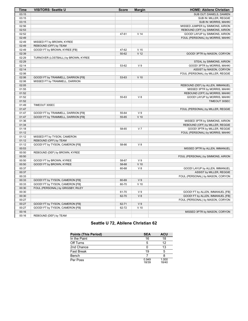| Time  | <b>VISITORS: Seattle U</b>          | <b>Score</b> | <b>Margin</b>   | <b>HOME: Abilene Christian</b>     |
|-------|-------------------------------------|--------------|-----------------|------------------------------------|
| 03:15 |                                     |              |                 | SUB OUT: DANIELS, DAMIEN           |
| 03:15 |                                     |              |                 | SUB IN: MILLER, REGGIE             |
| 03:15 |                                     |              |                 | SUB IN: MORRIS, MAHKI              |
| 02:56 |                                     |              |                 | MISSED JUMPER by SIMMONS, AIRION   |
| 02:53 |                                     |              |                 | REBOUND (OFF) by SIMMONS, AIRION   |
| 02:52 |                                     | 47-61        | V <sub>14</sub> | GOOD! LAYUP by SIMMONS, AIRION     |
| 02:49 |                                     |              |                 | FOUL (PERSONAL) by MORRIS, MAHKI   |
| 02:49 | MISSED FT by BROWN, KYREE           |              |                 |                                    |
| 02:49 | REBOUND (OFF) by TEAM               |              |                 |                                    |
| 02:49 | GOOD! FT by BROWN, KYREE [FB]       | 47-62        | V <sub>15</sub> |                                    |
| 02:39 |                                     | 50-62        | V <sub>12</sub> | GOOD! 3PTR by MASON, CORYON        |
| 02:29 | TURNOVER (LOSTBALL) by BROWN, KYREE |              |                 |                                    |
| 02:29 |                                     |              |                 | STEAL by SIMMONS, AIRION           |
| 02:14 |                                     | 53-62        | V <sub>9</sub>  | GOOD! 3PTR by MORRIS, MAHKI        |
| 02:14 |                                     |              |                 | ASSIST by MASON, CORYON            |
| 02:06 |                                     |              |                 | FOUL (PERSONAL) by MILLER, REGGIE  |
| 02:06 | GOOD! FT by TRAMMELL, DARRION [FB]  | 53-63        | $V$ 10          |                                    |
| 02:06 | MISSED FT by TRAMMELL, DARRION      |              |                 |                                    |
| 02:05 |                                     |              |                 | REBOUND (DEF) by ALLEN, IMMANUEL   |
| 01:55 |                                     |              |                 | MISSED 3PTR by MORRIS, MAHKI       |
| 01:52 |                                     |              |                 | REBOUND (OFF) by MORRIS, MAHKI     |
| 01:52 |                                     | 55-63        | V8              | GOOD! LAYUP by MORRIS, MAHKI       |
| 01:52 |                                     |              |                 | TIMEOUT 30SEC                      |
| 01:49 | TIMEOUT 30SEC                       |              |                 |                                    |
| 01:47 |                                     |              |                 | FOUL (PERSONAL) by MILLER, REGGIE  |
| 01:47 | GOOD! FT by TRAMMELL, DARRION [FB]  | 55-64        | V <sub>9</sub>  |                                    |
| 01:47 | GOOD! FT by TRAMMELL, DARRION [FB]  | 55-65        | $V$ 10          |                                    |
| 01:36 |                                     |              |                 | MISSED 3PTR by SIMMONS, AIRION     |
| 01:34 |                                     |              |                 | REBOUND (OFF) by MILLER, REGGIE    |
| 01:18 |                                     | 58-65        | V <sub>7</sub>  | GOOD! 3PTR by MILLER, REGGIE       |
| 01:12 |                                     |              |                 | FOUL (PERSONAL) by MORRIS, MAHKI   |
| 01:12 | MISSED FT by TYSON, CAMERON         |              |                 |                                    |
| 01:12 | REBOUND (OFF) by TEAM               |              |                 |                                    |
| 01:12 | GOOD! FT by TYSON, CAMERON [FB]     | 58-66        | V 8             |                                    |
| 00:53 |                                     |              |                 | MISSED 3PTR by ALLEN, IMMANUEL     |
| 00:50 | REBOUND (DEF) by BROWN, KYREE       |              |                 |                                    |
| 00:50 |                                     |              |                 | FOUL (PERSONAL) by SIMMONS, AIRION |
| 00:50 | GOOD! FT by BROWN, KYREE            | 58-67        | V <sub>9</sub>  |                                    |
| 00:50 | GOOD! FT by BROWN, KYREE            | 58-68        | $V$ 10          |                                    |
| 00:37 |                                     | 60-68        | V 8             | GOOD! LAYUP by ALLEN, IMMANUEL     |
| 00:37 |                                     |              |                 | ASSIST by MILLER, REGGIE           |
| 00:33 |                                     |              |                 | FOUL (PERSONAL) by MASON, CORYON   |
| 00:33 | GOOD! FT by TYSON, CAMERON [FB]     | 60-69        | V <sub>9</sub>  |                                    |
| 00:33 | GOOD! FT by TYSON, CAMERON [FB]     | 60-70        | $V$ 10          |                                    |
| 00:30 | FOUL (PERSONAL) by GRIGSBY, RILEY   |              |                 |                                    |
| 00:30 |                                     | 61-70        | V <sub>9</sub>  | GOOD! FT by ALLEN, IMMANUEL [FB]   |
| 00:30 |                                     | 62-70        | V8              | GOOD! FT by ALLEN, IMMANUEL [FB]   |
| 00:27 |                                     |              |                 | FOUL (PERSONAL) by MASON, CORYON   |
| 00:27 | GOOD! FT by TYSON, CAMERON [FB]     | 62-71        | V <sub>9</sub>  |                                    |
| 00:27 | GOOD! FT by TYSON, CAMERON [FB]     | 62-72        | $V$ 10          |                                    |
| 00:16 |                                     |              |                 | MISSED 3PTR by MASON, CORYON       |
| 00:16 | REBOUND (DEF) by TEAM               |              |                 |                                    |

# **Seattle U 72, Abilene Christian 62**

| <b>Points (This Period)</b> | <b>SEA</b>     | <b>ACU</b>     |
|-----------------------------|----------------|----------------|
| In the Paint                | 16             | 18             |
| Off Turns                   | 5              | 12             |
| 2nd Chance                  |                | 13             |
| <b>Fast Break</b>           | 19             | 5              |
| Bench                       |                |                |
| Per Poss                    | 0.949<br>18/39 | 1.000<br>18/40 |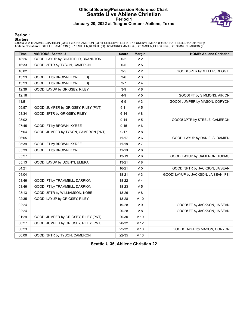#### **Official Scoring/Possession Reference Chart Seattle U vs Abilene Christian Period 1 January 20, 2022 at Teague Center - Abilene, Texas**



**Period 1**

<mark>Starters:</mark><br>Seattle U: 2 TRAMMELL,DARRION (G); 5 TYSON,CAMERON (G); 11 GRIGSBY,RILEY (G); 15 UDENYI,EMEKA (F); 25 CHATFIELD,BRANDTON (F);<br>**Abilene Christian**: 5 STEELE,CAMERON (F); 10 MILLER,REGGIE (G); 12 MORRIS,MAHKI (G)

| <b>Time</b> | <b>VISITORS: Seattle U</b>           | <b>Score</b> | <b>Margin</b>   | <b>HOME: Abilene Christian</b>       |
|-------------|--------------------------------------|--------------|-----------------|--------------------------------------|
| 18:26       | GOOD! LAYUP by CHATFIELD, BRANDTON   | $0 - 2$      | V <sub>2</sub>  |                                      |
| 16:33       | GOOD! 3PTR by TYSON, CAMERON         | $0-5$        | V <sub>5</sub>  |                                      |
| 16:02       |                                      | $3-5$        | V <sub>2</sub>  | GOOD! 3PTR by MILLER, REGGIE         |
| 13:23       | GOOD! FT by BROWN, KYREE [FB]        | $3-6$        | $V_3$           |                                      |
| 13:23       | GOOD! FT by BROWN, KYREE [FB]        | $3 - 7$      | V <sub>4</sub>  |                                      |
| 12:39       | GOOD! LAYUP by GRIGSBY, RILEY        | $3-9$        | $V_6$           |                                      |
| 12:16       |                                      | 4-9          | V <sub>5</sub>  | GOOD! FT by SIMMONS, AIRION          |
| 11:51       |                                      | $6-9$        | V <sub>3</sub>  | GOOD! JUMPER by MASON, CORYON        |
| 09:57       | GOOD! JUMPER by GRIGSBY, RILEY [PNT] | $6 - 11$     | V <sub>5</sub>  |                                      |
| 08:34       | GOOD! 3PTR by GRIGSBY, RILEY         | $6 - 14$     | V8              |                                      |
| 08:02       |                                      | $9 - 14$     | V <sub>5</sub>  | GOOD! 3PTR by STEELE, CAMERON        |
| 07:45       | GOOD! FT by BROWN, KYREE             | $9 - 15$     | $V_6$           |                                      |
| 07:04       | GOOD! JUMPER by TYSON, CAMERON [PNT] | $9 - 17$     | V8              |                                      |
| 06:05       |                                      | $11 - 17$    | $V_6$           | GOOD! LAYUP by DANIELS, DAMIEN       |
| 05:39       | GOOD! FT by BROWN, KYREE             | $11 - 18$    | V <sub>7</sub>  |                                      |
| 05:39       | GOOD! FT by BROWN, KYREE             | $11 - 19$    | V8              |                                      |
| 05:27       |                                      | $13 - 19$    | $V_6$           | GOOD! LAYUP by CAMERON, TOBIAS       |
| 05:13       | GOOD! LAYUP by UDENYI, EMEKA         | 13-21        | V8              |                                      |
| 04:21       |                                      | $16 - 21$    | V <sub>5</sub>  | GOOD! 3PTR by JACKSON, JA'SEAN       |
| 04:04       |                                      | 18-21        | V <sub>3</sub>  | GOOD! LAYUP by JACKSON, JA'SEAN [FB] |
| 03:46       | GOOD! FT by TRAMMELL, DARRION        | 18-22        | V <sub>4</sub>  |                                      |
| 03:46       | GOOD! FT by TRAMMELL, DARRION        | 18-23        | V <sub>5</sub>  |                                      |
| 03:13       | GOOD! 3PTR by WILLIAMSON, KOBE       | 18-26        | V8              |                                      |
| 02:35       | GOOD! LAYUP by GRIGSBY, RILEY        | 18-28        | $V$ 10          |                                      |
| 02:24       |                                      | 19-28        | V <sub>9</sub>  | GOOD! FT by JACKSON, JA'SEAN         |
| 02:24       |                                      | 20-28        | V8              | GOOD! FT by JACKSON, JA'SEAN         |
| 01:29       | GOOD! JUMPER by GRIGSBY, RILEY [PNT] | 20-30        | $V$ 10          |                                      |
| 00:27       | GOOD! JUMPER by GRIGSBY, RILEY [PNT] | 20-32        | V <sub>12</sub> |                                      |
| 00:23       |                                      | 22-32        | $V$ 10          | GOOD! LAYUP by MASON, CORYON         |
| 00:00       | GOOD! 3PTR by TYSON, CAMERON         | 22-35        | V <sub>13</sub> |                                      |

**Seattle U 35, Abilene Christian 22**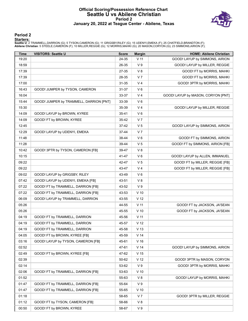#### **Official Scoring/Possession Reference Chart Seattle U vs Abilene Christian Period 2 January 20, 2022 at Teague Center - Abilene, Texas**



#### **Period 2**

<mark>Starters:</mark><br>Seattle U: 2 TRAMMELL,DARRION (G); 5 TYSON,CAMERON (G); 11 GRIGSBY,RILEY (G); 15 UDENYI,EMEKA (F); 25 CHATFIELD,BRANDTON (F);<br>**Abilene Christian**: 5 STEELE,CAMERON (F); 10 MILLER,REGGIE (G); 12 MORRIS,MAHKI (G)

| <b>Time</b> | <b>VISITORS: Seattle U</b>              | <b>Score</b> | <b>Margin</b>   | <b>HOME: Abilene Christian</b>     |
|-------------|-----------------------------------------|--------------|-----------------|------------------------------------|
| 19:20       |                                         | 24-35        | $V$ 11          | GOOD! LAYUP by SIMMONS, AIRION     |
| 18:59       |                                         | 26-35        | V <sub>9</sub>  | GOOD! LAYUP by MILLER, REGGIE      |
| 17:39       |                                         | 27-35        | V8              | GOOD! FT by MORRIS, MAHKI          |
| 17:39       |                                         | 28-35        | V <sub>7</sub>  | GOOD! FT by MORRIS, MAHKI          |
| 17:00       |                                         | $31 - 35$    | V <sub>4</sub>  | GOOD! 3PTR by MORRIS, MAHKI        |
| 16:43       | GOOD! JUMPER by TYSON, CAMERON          | 31-37        | $V_6$           |                                    |
| 16:04       |                                         | 33-37        | V <sub>4</sub>  | GOOD! LAYUP by MASON, CORYON [PNT] |
| 15:44       | GOOD! JUMPER by TRAMMELL, DARRION [PNT] | 33-39        | $V_6$           |                                    |
| 15:30       |                                         | 35-39        | V <sub>4</sub>  | GOOD! LAYUP by MILLER, REGGIE      |
| 14:09       | GOOD! LAYUP by BROWN, KYREE             | 35-41        | V6              |                                    |
| 14:09       | GOOD! FT by BROWN, KYREE                | 35-42        | V <sub>7</sub>  |                                    |
| 12:45       |                                         | 37-42        | V <sub>5</sub>  | GOOD! LAYUP by SIMMONS, AIRION     |
| 12:29       | GOOD! LAYUP by UDENYI, EMEKA            | 37-44        | V <sub>7</sub>  |                                    |
| 11:48       |                                         | 38-44        | $V_6$           | GOOD! FT by SIMMONS, AIRION        |
| 11:28       |                                         | 39-44        | V <sub>5</sub>  | GOOD! FT by SIMMONS, AIRION [FB]   |
| 10:42       | GOOD! 3PTR by TYSON, CAMERON [FB]       | 39-47        | V8              |                                    |
| 10:15       |                                         | 41-47        | $V_6$           | GOOD! LAYUP by ALLEN, IMMANUEL     |
| 09:22       |                                         | 42-47        | V <sub>5</sub>  | GOOD! FT by MILLER, REGGIE [FB]    |
| 09:22       |                                         | 43-47        | V <sub>4</sub>  | GOOD! FT by MILLER, REGGIE [FB]    |
| 09:02       | GOOD! LAYUP by GRIGSBY, RILEY           | 43-49        | $V_6$           |                                    |
| 07:42       | GOOD! LAYUP by UDENYI, EMEKA [FB]       | 43-51        | V8              |                                    |
| 07:22       | GOOD! FT by TRAMMELL, DARRION [FB]      | 43-52        | V <sub>9</sub>  |                                    |
| 07:22       | GOOD! FT by TRAMMELL, DARRION [FB]      | 43-53        | $V$ 10          |                                    |
| 06:09       | GOOD! LAYUP by TRAMMELL, DARRION        | 43-55        | V <sub>12</sub> |                                    |
| 05:26       |                                         | 44-55        | $V$ 11          | GOOD! FT by JACKSON, JA'SEAN       |
| 05:26       |                                         | 45-55        | $V$ 10          | GOOD! FT by JACKSON, JA'SEAN       |
| 04:19       | GOOD! FT by TRAMMELL, DARRION           | 45-56        | $V$ 11          |                                    |
| 04:19       | GOOD! FT by TRAMMELL, DARRION           | 45-57        | V <sub>12</sub> |                                    |
| 04:19       | GOOD! FT by TRAMMELL, DARRION           | 45-58        | V <sub>13</sub> |                                    |
| 04:05       | GOOD! FT by BROWN, KYREE [FB]           | 45-59        | V <sub>14</sub> |                                    |
| 03:16       | GOOD! LAYUP by TYSON, CAMERON [FB]      | 45-61        | V <sub>16</sub> |                                    |
| 02:52       |                                         | 47-61        | V <sub>14</sub> | GOOD! LAYUP by SIMMONS, AIRION     |
| 02:49       | GOOD! FT by BROWN, KYREE [FB]           | 47-62        | V <sub>15</sub> |                                    |
| 02:39       |                                         | 50-62        | V <sub>12</sub> | GOOD! 3PTR by MASON, CORYON        |
| 02:14       |                                         | 53-62        | V <sub>9</sub>  | GOOD! 3PTR by MORRIS, MAHKI        |
| 02:06       | GOOD! FT by TRAMMELL, DARRION [FB]      | 53-63        | $V$ 10          |                                    |
| 01:52       |                                         | 55-63        | V 8             | GOOD! LAYUP by MORRIS, MAHKI       |
| 01:47       | GOOD! FT by TRAMMELL, DARRION [FB]      | 55-64        | V <sub>9</sub>  |                                    |
| 01:47       | GOOD! FT by TRAMMELL, DARRION [FB]      | 55-65        | $V$ 10          |                                    |
| 01:18       |                                         | 58-65        | V 7             | GOOD! 3PTR by MILLER, REGGIE       |
| 01:12       | GOOD! FT by TYSON, CAMERON [FB]         | 58-66        | V8              |                                    |
| 00:50       | GOOD! FT by BROWN, KYREE                | 58-67        | V <sub>9</sub>  |                                    |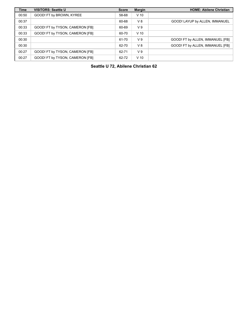| <b>Time</b> | <b>VISITORS: Seattle U</b>      | <b>Score</b> | <b>Margin</b>  | <b>HOME: Abilene Christian</b>   |
|-------------|---------------------------------|--------------|----------------|----------------------------------|
| 00:50       | GOOD! FT by BROWN, KYREE        | 58-68        | $V$ 10         |                                  |
| 00:37       |                                 | 60-68        | V8             | GOOD! LAYUP by ALLEN, IMMANUEL   |
| 00:33       | GOOD! FT by TYSON, CAMERON [FB] | 60-69        | V <sub>9</sub> |                                  |
| 00:33       | GOOD! FT by TYSON, CAMERON [FB] | 60-70        | $V$ 10         |                                  |
| 00:30       |                                 | 61-70        | V <sub>9</sub> | GOOD! FT by ALLEN, IMMANUEL [FB] |
| 00:30       |                                 | 62-70        | $V_8$          | GOOD! FT by ALLEN, IMMANUEL [FB] |
| 00:27       | GOOD! FT by TYSON, CAMERON [FB] | 62-71        | V <sub>9</sub> |                                  |
| 00:27       | GOOD! FT by TYSON, CAMERON [FB] | 62-72        | $V$ 10         |                                  |

**Seattle U 72, Abilene Christian 62**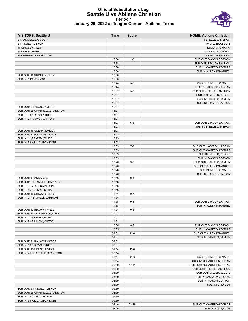#### **Official Substitutions Log Seattle U vs Abilene Christian Period 1 January 20, 2022 at Teague Center - Abilene, Texas**



| <b>VISITORS: Seattle U</b>                            | <b>Time</b>    | <b>Score</b> | <b>HOME: Abilene Christian</b> |
|-------------------------------------------------------|----------------|--------------|--------------------------------|
| 2 TRAMMELL.DARRION                                    |                |              | 5 STEELE, CAMERON              |
| 5 TYSON, CAMERON                                      |                |              | 10 MILLER, REGGIE              |
| 11 GRIGSBY, RILEY                                     |                |              | 12 MORRIS, MAHKI               |
| 15 UDENYI, EMEKA                                      |                |              | 20 MASON, CORYON               |
| 25 CHATFIELD, BRANDTON                                |                |              | 23 SIMMONS, AIRION             |
|                                                       | 16:38          | $2 - 0$      | SUB OUT: MASON, CORYON         |
|                                                       | 16:38          |              | SUB OUT: SIMMONS, AIRION       |
|                                                       | 16:38          |              | SUB IN: CAMERON, TOBIAS        |
|                                                       | 16:38          |              | SUB IN: ALLEN, IMMANUEL        |
| SUB OUT: 11 GRIGSBY, RILEY                            | 16:38          |              |                                |
| SUB IN: 1 PANDA, VAS                                  | 16:38          |              |                                |
|                                                       | 15:44          | $5 - 3$      | SUB OUT: MORRIS, MAHKI         |
|                                                       | 15:44          |              | SUB IN: JACKSON, JA'SEAN       |
|                                                       | 15:07          | $5 - 3$      | SUB OUT: STEELE, CAMERON       |
|                                                       | 15:07          |              | SUB OUT: MILLER, REGGIE        |
|                                                       | 15:07          |              | SUB IN: DANIELS, DAMIEN        |
|                                                       | 15:07          |              | SUB IN: SIMMONS, AIRION        |
| SUB OUT: 5 TYSON, CAMERON                             | 15:07          |              |                                |
| SUB OUT: 25 CHATFIELD, BRANDTON                       | 15:07          |              |                                |
| SUB IN: 13 BROWN, KYREE<br>SUB IN: 21 RAJKOVI, VIKTOR | 15:07          |              |                                |
|                                                       | 15:07<br>13:23 | $6 - 3$      | SUB OUT: SIMMONS, AIRION       |
|                                                       |                |              |                                |
| SUB OUT: 15 UDENYI, EMEKA                             | 13:23<br>13:23 |              | SUB IN: STEELE, CAMERON        |
| SUB OUT: 21 RAJKOVI, VIKTOR                           | 13:23          |              |                                |
| SUB IN: 11 GRIGSBY, RILEY                             | 13:23          |              |                                |
| SUB IN: 33 WILLIAMSON, KOBE                           | 13:23          |              |                                |
|                                                       | 13:03          | $7 - 3$      | SUB OUT: JACKSON, JA'SEAN      |
|                                                       | 13:03          |              | SUB OUT: CAMERON, TOBIAS       |
|                                                       | 13:03          |              | SUB IN: MILLER, REGGIE         |
|                                                       | 13:03          |              | SUB IN: MASON, CORYON          |
|                                                       | 12:26          | $9 - 3$      | SUB OUT: DANIELS, DAMIEN       |
|                                                       | 12:26          |              | SUB OUT: ALLEN, IMMANUEL       |
|                                                       | 12:26          |              | SUB IN: MORRIS, MAHKI          |
|                                                       | 12:26          |              | SUB IN: SIMMONS, AIRION        |
| SUB OUT: 1 PANDA, VAS                                 | 12:16          | $9 - 4$      |                                |
| SUB OUT: 2 TRAMMELL, DARRION                          | 12:16          |              |                                |
| SUB IN: 5 TYSON, CAMERON                              | 12:16          |              |                                |
| SUB IN: 15 UDENYI, EMEKA                              | 12:16          |              |                                |
| SUB OUT: 11 GRIGSBY, RILEY                            | 11:34          | $9-6$        |                                |
| SUB IN: 2 TRAMMELL, DARRION                           | 11:34          |              |                                |
|                                                       | 11:30          | $9-6$        | SUB OUT: SIMMONS, AIRION       |
|                                                       | 11:30          |              | SUB IN: ALLEN, IMMANUEL        |
| SUB OUT: 13 BROWN.KYREE                               | 11:01          | $9-6$        |                                |
| SUB OUT: 33 WILLIAMSON, KOBE                          | 11:01          |              |                                |
| SUB IN: 11 GRIGSBY, RILEY                             | 11:01          |              |                                |
| SUB IN: 21 RAJKOVI, VIKTOR                            | 11:01          |              |                                |
|                                                       | 10:05          | $9-6$        | SUB OUT: MASON, CORYON         |
|                                                       | 10:05          |              | SUB IN: CAMERON, TOBIAS        |
|                                                       | 09:31          | $11-6$       | SUB OUT: ALLEN, IMMANUEL       |
|                                                       | 09:31          |              | SUB IN: DANIELS, DAMIEN        |
| SUB OUT: 21 RAJKOVI, VIKTOR                           | 09:31          |              |                                |
| SUB IN: 13 BROWN, KYREE                               | 09:31          |              |                                |
| SUB OUT: 15 UDENYI, EMEKA                             | 09:14          | $11 - 6$     |                                |
| SUB IN: 25 CHATFIELD, BRANDTON                        | 09:14          |              |                                |
|                                                       | 08:14          | $14-6$       | SUB OUT: MORRIS, MAHKI         |
|                                                       | 08:14          |              | SUB IN: MCLAUGHLIN, LOGAN      |
|                                                       | 05:39          | $17 - 11$    | SUB OUT: MCLAUGHLIN, LOGAN     |
|                                                       | 05:39          |              | SUB OUT: STEELE, CAMERON       |
|                                                       | 05:39          |              | SUB OUT: MILLER, REGGIE        |
|                                                       | 05:39          |              | SUB IN: JACKSON, JA'SEAN       |
|                                                       | 05:39          |              | SUB IN: MASON, CORYON          |
|                                                       | 05:39          |              | SUB IN: GAI, YUOT              |
| SUB OUT: 5 TYSON, CAMERON                             | 05:39          |              |                                |
| SUB OUT: 25 CHATFIELD, BRANDTON                       | 05:39          |              |                                |
| SUB IN: 15 UDENYI, EMEKA                              | 05:39          |              |                                |
| SUB IN: 33 WILLIAMSON, KOBE                           | 05:39          |              |                                |
|                                                       | 03:46          | $23 - 18$    | SUB OUT: CAMERON, TOBIAS       |

03:46 SUB OUT: GAI, YUOT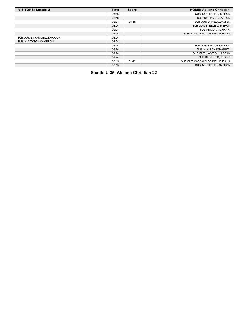| <b>VISITORS: Seattle U</b>   | <b>Time</b> | <b>Score</b> | <b>HOME: Abilene Christian</b>  |
|------------------------------|-------------|--------------|---------------------------------|
|                              | 03:46       |              | SUB IN: STEELE, CAMERON         |
|                              | 03:46       |              | <b>SUB IN: SIMMONS AIRION</b>   |
|                              | 02:24       | $28-18$      | SUB OUT: DANIELS, DAMIEN        |
|                              | 02:24       |              | SUB OUT: STEELE, CAMERON        |
|                              | 02:24       |              | <b>SUB IN: MORRIS MAHKI</b>     |
|                              | 02:24       |              | SUB IN: CADEAUX DE DIEU.FURAHA  |
| SUB OUT: 2 TRAMMELL, DARRION | 02:24       |              |                                 |
| SUB IN: 5 TYSON.CAMERON      | 02:24       |              |                                 |
|                              | 02:24       |              | SUB OUT: SIMMONS, AIRION        |
|                              | 02:24       |              | SUB IN: ALLEN, IMMANUEL         |
|                              | 02:24       |              | SUB OUT: JACKSON.JA'SEAN        |
|                              | 02:24       |              | SUB IN: MILLER, REGGIE          |
|                              | 00:15       | $32 - 22$    | SUB OUT: CADEAUX DE DIEU.FURAHA |
|                              | 00:15       |              | SUB IN: STEELE, CAMERON         |

**Seattle U 35, Abilene Christian 22**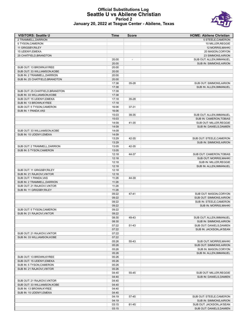#### **Official Substitutions Log Seattle U vs Abilene Christian Period 2 January 20, 2022 at Teague Center - Abilene, Texas**



| <b>VISITORS: Seattle U</b>                               | Time           | <b>Score</b>             | <b>HOME: Abilene Christian</b>                              |
|----------------------------------------------------------|----------------|--------------------------|-------------------------------------------------------------|
| 2 TRAMMELL, DARRION                                      |                |                          | 5 STEELE.CAMERON                                            |
| 5 TYSON, CAMERON                                         |                |                          | 10 MILLER, REGGIE                                           |
| 11 GRIGSBY, RILEY                                        |                |                          | 12 MORRIS, MAHKI                                            |
| 15 UDENYI, EMEKA                                         |                |                          | 20 MASON, CORYON                                            |
| 25 CHATFIELD, BRANDTON                                   |                |                          | 23 SIMMONS, AIRION                                          |
|                                                          | 20:00          | $\overline{\phantom{a}}$ | SUB OUT: ALLEN, IMMANUEL                                    |
|                                                          | 20:00          |                          | <b>SUB IN: SIMMONS, AIRION</b>                              |
| SUB OUT: 13 BROWN, KYREE<br>SUB OUT: 33 WILLIAMSON, KOBE | 20:00<br>20:00 |                          |                                                             |
| SUB IN: 2 TRAMMELL, DARRION                              | 20:00          |                          |                                                             |
| SUB IN: 25 CHATFIELD, BRANDTON                           | 20:00          |                          |                                                             |
|                                                          | 17:38          | 35-28                    | SUB OUT: SIMMONS, AIRION                                    |
|                                                          | 17:38          |                          | SUB IN: ALLEN.IMMANUEL                                      |
| SUB OUT: 25 CHATFIELD, BRANDTON                          | 17:38          |                          |                                                             |
| SUB IN: 33 WILLIAMSON, KOBE                              | 17:38          |                          |                                                             |
| SUB OUT: 15 UDENYI, EMEKA                                | 17:18          | 35-28                    |                                                             |
| SUB IN: 13 BROWN, KYREE                                  | 17:18          |                          |                                                             |
| SUB OUT: 5 TYSON, CAMERON                                | 16:06          | 37-31                    |                                                             |
| SUB IN: 1 PANDA, VAS                                     | 16:06          |                          |                                                             |
|                                                          | 15:03          | 39-35                    | SUB OUT: ALLEN, IMMANUEL                                    |
|                                                          | 15:03          |                          | <b>SUB IN: CAMERON.TOBIAS</b>                               |
|                                                          | 14:09          | 41-35                    | SUB OUT: MILLER, REGGIE                                     |
|                                                          | 14:09          |                          | SUB IN: DANIELS, DAMIEN                                     |
| SUB OUT: 33 WILLIAMSON, KOBE                             | 14:09          |                          |                                                             |
| SUB IN: 15 UDENYI.EMEKA                                  | 14:09          |                          |                                                             |
|                                                          | 13:29          | 42-35                    | SUB OUT: STEELE, CAMERON                                    |
|                                                          | 13:29          |                          | <b>SUB IN: SIMMONS, AIRION</b>                              |
| SUB OUT: 2 TRAMMELL, DARRION                             | 13:05<br>13:05 | 42-35                    |                                                             |
| SUB IN: 5 TYSON, CAMERON                                 | 12:18          | 44-37                    | SUB OUT: CAMERON, TOBIAS                                    |
|                                                          | 12:18          |                          | <b>SUB OUT: MORRIS, MAHKI</b>                               |
|                                                          | 12:18          |                          | SUB IN: MILLER, REGGIE                                      |
|                                                          | 12:18          |                          | SUB IN: ALLEN, IMMANUEL                                     |
| SUB OUT: 11 GRIGSBY, RILEY                               | 12:18          |                          |                                                             |
| SUB IN: 21 RAJKOVI, VIKTOR                               | 12:18          |                          |                                                             |
| SUB OUT: 1 PANDA, VAS                                    | 11:28          | 44-39                    |                                                             |
| SUB IN: 2 TRAMMELL, DARRION                              | 11:28          |                          |                                                             |
| SUB OUT: 21 RAJKOVI, VIKTOR                              | 11:28          |                          |                                                             |
| SUB IN: 11 GRIGSBY, RILEY                                | 11:28          |                          |                                                             |
|                                                          | 09:22          | 47-41                    | SUB OUT: MASON, CORYON                                      |
|                                                          | 09:22          |                          | <b>SUB OUT: SIMMONS.AIRION</b>                              |
|                                                          | 09:22          |                          | SUB IN: STEELE, CAMERON                                     |
|                                                          | 09:22          |                          | <b>SUB IN: MORRIS, MAHKI</b>                                |
| SUB OUT: 5 TYSON, CAMERON                                | 09:22          |                          |                                                             |
| SUB IN: 21 RAJKOVI.VIKTOR                                | 09:22          |                          |                                                             |
|                                                          | 08:30          | 49-43                    | SUB OUT: ALLEN, IMMANUEL                                    |
|                                                          | 08:30          |                          | <b>SUB IN: SIMMONS AIRION</b>                               |
|                                                          | 07:22<br>07:22 | 51-43                    | SUB OUT: DANIELS, DAMIEN<br>SUB IN: JACKSON, JA'SEAN        |
| SUB OUT: 21 RAJKOVI, VIKTOR                              | 07:22          |                          |                                                             |
| SUB IN: 33 WILLIAMSON.KOBE                               | 07:22          |                          |                                                             |
|                                                          | 05:26          | 55-43                    | SUB OUT: MORRIS, MAHKI                                      |
|                                                          | 05:26          |                          | SUB OUT: SIMMONS, AIRION                                    |
|                                                          | 05:26          |                          | SUB IN: MASON, CORYON                                       |
|                                                          | 05:26          |                          | SUB IN: ALLEN, IMMANUEL                                     |
| SUB OUT: 13 BROWN, KYREE                                 | 05:26          |                          |                                                             |
| SUB OUT: 15 UDENYI.EMEKA                                 | 05:26          |                          |                                                             |
| SUB IN: 5 TYSON, CAMERON                                 | 05:26          |                          |                                                             |
| SUB IN: 21 RAJKOVI, VIKTOR                               | 05:26          |                          |                                                             |
|                                                          | 04:40          | 55-45                    | SUB OUT: MILLER, REGGIE                                     |
|                                                          | 04:40          |                          | SUB IN: DANIELS, DAMIEN                                     |
| SUB OUT: 21 RAJKOVI, VIKTOR                              | 04:40          |                          |                                                             |
| SUB OUT: 33 WILLIAMSON, KOBE                             | 04:40          |                          |                                                             |
| SUB IN: 13 BROWN, KYREE                                  | 04:40          |                          |                                                             |
| SUB IN: 15 UDENYI, EMEKA                                 | 04:40          |                          |                                                             |
|                                                          | 04:19<br>04:19 | 57-45                    | SUB OUT: STEELE, CAMERON                                    |
|                                                          | 03:15          | 61-45                    | <b>SUB IN: SIMMONS, AIRION</b><br>SUB OUT: JACKSON, JA'SEAN |
|                                                          | 03:15          |                          | SUB OUT: DANIELS, DAMIEN                                    |